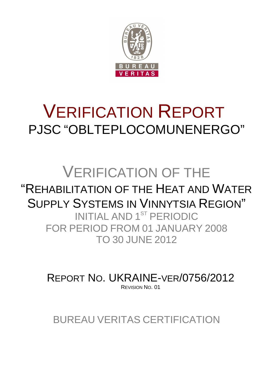

# VERIFICATION REPORT PJSC "OBLTEPLOCOMUNENERGO"

## VERIFICATION OF THE "REHABILITATION OF THE HEAT AND WATER SUPPLY SYSTEMS IN VINNYTSIA REGION" INITIAL AND 1ST PERIODIC FOR PERIOD FROM 01 JANUARY 2008 TO 30 JUNE 2012

REPORT NO. UKRAINE-VER/0756/2012 REVISION NO. 01

BUREAU VERITAS CERTIFICATION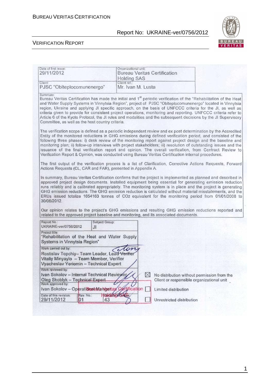

|                                                                                                                                                             |                                   | Organizational unit:<br><b>Bureau Veritas Certification</b>                                                                                                                                                                                                                                                                                                                                                                                                                                                                                                                                                                                                                             |
|-------------------------------------------------------------------------------------------------------------------------------------------------------------|-----------------------------------|-----------------------------------------------------------------------------------------------------------------------------------------------------------------------------------------------------------------------------------------------------------------------------------------------------------------------------------------------------------------------------------------------------------------------------------------------------------------------------------------------------------------------------------------------------------------------------------------------------------------------------------------------------------------------------------------|
|                                                                                                                                                             | <b>Holding SAS</b>                |                                                                                                                                                                                                                                                                                                                                                                                                                                                                                                                                                                                                                                                                                         |
| Client:<br>PJSC "Obiteplocomunenergo"                                                                                                                       | Client ref.:<br>Mr. Ivan M. Lusta |                                                                                                                                                                                                                                                                                                                                                                                                                                                                                                                                                                                                                                                                                         |
| Summary:<br>Committee, as well as the host country criteria.                                                                                                |                                   | Bureau Veritas Certification has made the initial and 1 <sup>st</sup> periodic verification of the "Rehabilitation of the Heat<br>and Water Supply Systems in Vinnytsia Region", project of PJSC "Oblteplocomunenergo" located in Vinnytsia<br>region, Ukraine and applying JI specific approach, on the basis of UNFCCC criteria for the JI, as well as<br>criteria given to provide for consistent project operations, monitoring and reporting. UNFCCC criteria refer to<br>Article 6 of the Kyoto Protocol, the JI rules and modalities and the subsequent decisions by the JI Supervisory                                                                                          |
|                                                                                                                                                             |                                   | The verification scope is defined as a periodic independent review and ex post determination by the Accredited<br>Entity of the monitored reductions in GHG emissions during defined verification period, and consisted of the<br>following three phases: i) desk review of the monitoring report against project design and the baseline and<br>monitoring plan; ii) follow-up interviews with project stakeholders; iii) resolution of outstanding issues and the<br>issuance of the final verification report and opinion. The overall verification, from Contract Review to<br>Verification Report & Opinion, was conducted using Bureau Veritas Certification internal procedures. |
| Actions Requests (CL, CAR and FAR), presented in Appendix A.                                                                                                |                                   | The first output of the verification process is a list of Clarification, Corrective Actions Requests, Forward                                                                                                                                                                                                                                                                                                                                                                                                                                                                                                                                                                           |
|                                                                                                                                                             |                                   | In summary, Bureau Veritas Certification confirms that the project is implemented as planned and described in<br>approved project design documents. Installed equipment being essential for generating emission reduction<br>runs reliably and is calibrated appropriately. The monitoring system is in place and the project is generating                                                                                                                                                                                                                                                                                                                                             |
| 30/06/2012.                                                                                                                                                 |                                   | GHG emission reductions. The GHG emission reduction is calculated without material misstatements, and the<br>ERUs issued totalize 1654163 tonnes of CO2 equivalent for the monitoring period from 01/01/2008 to                                                                                                                                                                                                                                                                                                                                                                                                                                                                         |
|                                                                                                                                                             |                                   | Our opinion relates to the project's GHG emissions and resulting GHG emission reductions reported and<br>related to the approved project baseline and monitoring, and its associated documents.                                                                                                                                                                                                                                                                                                                                                                                                                                                                                         |
| Report No.:<br>UKRAINE-ver/0756/2012<br>JI                                                                                                                  | Subject Group:                    |                                                                                                                                                                                                                                                                                                                                                                                                                                                                                                                                                                                                                                                                                         |
| Project title:<br>"Rehabilitation of the Heat and Water Supply<br>Systems in Vinnytsia Region"                                                              |                                   |                                                                                                                                                                                                                                                                                                                                                                                                                                                                                                                                                                                                                                                                                         |
| Work carried out by:<br>Rostislav Topchiy- Team Leader, Lead Verifier<br>Vitaliy Minyaylo - Team Member, Verifier<br>Vyacheslav Yeriomin - Technical Expert |                                   |                                                                                                                                                                                                                                                                                                                                                                                                                                                                                                                                                                                                                                                                                         |
| Work reviewed by:<br>Ivan Sokolov - Internal Technical Reviewer                                                                                             |                                   | $\boxtimes$<br>No distribution without permission from the                                                                                                                                                                                                                                                                                                                                                                                                                                                                                                                                                                                                                              |
| Oleg Skoblyk - Technical Expert<br>Work approved by:<br>Ivan Sokolov - OperationaeMangeitag                                                                 | Certification                     | Client or responsible organizational unit<br>Limited distribution                                                                                                                                                                                                                                                                                                                                                                                                                                                                                                                                                                                                                       |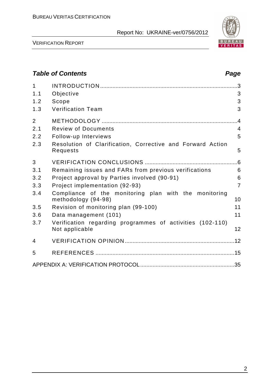

VERIFICATION REPORT

#### **Table of Contents Page 2014** 1 INTRODUCTION ......................................................................................... 3 1.1 Objective 3 1.2 Scope 3 1.3 Verification Team 3 2 METHODOLOGY ........................................................................................ 4 2.1 Review of Documents 4 2.2 Follow-up Interviews 5 2.3 Resolution of Clarification, Corrective and Forward Action Requests 5 3 VERIFICATION CONCLUSIONS ............................................................ 6 3.1 Remaining issues and FARs from previous verifications 6 3.2 Project approval by Parties involved (90-91) 6 3.3 Project implementation (92-93) 7 3.4 Compliance of the monitoring plan with the monitoring methodology (94-98) 10 3.5 Revision of monitoring plan (99-100) 11 3.6 Data management (101) 11 3.7 Verification regarding programmes of activities (102-110) Not applicable 12 4 VERIFICATION OPINION ....................................................................... 12 5 REFERENCES .......................................................................................... 15 APPENDIX A: VERIFICATION PROTOCOL ............................................................. 35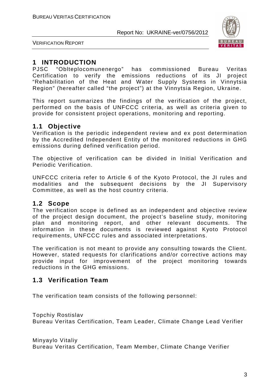

VERIFICATION REPORT

#### **1 INTRODUCTION**

PJSC "Oblteplocomunenergo" has commissioned Bureau Veritas Certification to verify the emissions reductions of its JI project "Rehabilitation of the Heat and Water Supply Systems in Vinnytsia Region" (hereafter called "the project") at the Vinnytsia Region, Ukraine.

This report summarizes the findings of the verification of the project, performed on the basis of UNFCCC criteria, as well as criteria given to provide for consistent project operations, monitoring and reporting.

#### **1.1 Objective**

Verification is the periodic independent review and ex post determination by the Accredited Independent Entity of the monitored reductions in GHG emissions during defined verification period.

The objective of verification can be divided in Initial Verification and Periodic Verification.

UNFCCC criteria refer to Article 6 of the Kyoto Protocol, the JI rules and modalities and the subsequent decisions by the JI Supervisory Committee, as well as the host country criteria.

#### **1.2 Scope**

The verification scope is defined as an independent and objective review of the project design document, the project's baseline study, monitoring plan and monitoring report, and other relevant documents. The information in these documents is reviewed against Kyoto Protocol requirements, UNFCCC rules and associated interpretations.

The verification is not meant to provide any consulting towards the Client. However, stated requests for clarifications and/or corrective actions may provide input for improvement of the project monitoring towards reductions in the GHG emissions.

#### **1.3 Verification Team**

The verification team consists of the following personnel:

Topchiy Rostislav

Bureau Veritas Certification, Team Leader, Climate Change Lead Verifier

Minyaylo Vitaliy Bureau Veritas Certification, Team Member, Climate Change Verifier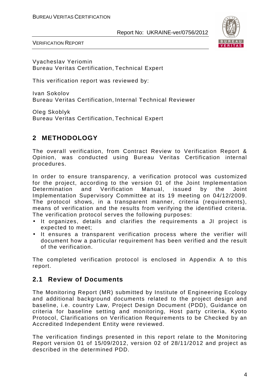

VERIFICATION REPORT

Vyacheslav Yeriomin Bureau Veritas Certification, Technical Expert

This verification report was reviewed by:

Ivan Sokolov Bureau Veritas Certification, Internal Technical Reviewer

Oleg Skoblyk Bureau Veritas Certification, Technical Expert

#### **2 METHODOLOGY**

The overall verification, from Contract Review to Verification Report & Opinion, was conducted using Bureau Veritas Certification internal procedures.

In order to ensure transparency, a verification protocol was customized for the project, according to the version 01 of the Joint Implementation Determination and Verification Manual, issued by the Joint Implementation Supervisory Committee at its 19 meeting on 04/12/2009. The protocol shows, in a transparent manner, criteria (requirements), means of verification and the results from verifying the identified criteria. The verification protocol serves the following purposes:

- It organizes, details and clarifies the requirements a JI project is expected to meet;
- It ensures a transparent verification process where the verifier will document how a particular requirement has been verified and the result of the verification.

The completed verification protocol is enclosed in Appendix A to this report.

#### **2.1 Review of Documents**

The Monitoring Report (MR) submitted by Institute of Engineering Ecology and additional background documents related to the project design and baseline, i.e. country Law, Project Design Document (PDD), Guidance on criteria for baseline setting and monitoring, Host party criteria, Kyoto Protocol, Clarifications on Verification Requirements to be Checked by an Accredited Independent Entity were reviewed.

The verification findings presented in this report relate to the Monitoring Report version 01 of 15/09/2012, version 02 of 28/11/2012 and project as described in the determined PDD.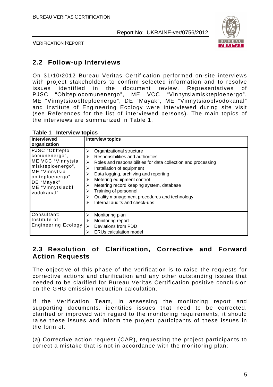

VERIFICATION REPORT

#### **2.2 Follow-up Interviews**

On 31/10/2012 Bureau Veritas Certification performed on-site interviews with project stakeholders to confirm selected information and to resolve issues identified in the document review. Representatives of PJSC "Oblteplocomunenergo", ME VCC "Vinnytsiamiskteploenergo", ME "Vinnytsiaoblteploenergo", DE "Mayak", ME "Vinnytsiaoblvodokanal" and Institute of Engineering Ecology were interviewed during site visit (see References for the list of interviewed persons). The main topics of the interviews are summarized in Table 1.

| Interviewed<br>organization                                                                                                                                     | <b>Interview topics</b>                                                                                                                                                                                                                                                                                                                                                                                          |
|-----------------------------------------------------------------------------------------------------------------------------------------------------------------|------------------------------------------------------------------------------------------------------------------------------------------------------------------------------------------------------------------------------------------------------------------------------------------------------------------------------------------------------------------------------------------------------------------|
| PJSC "Oblteplo<br>comunenergo",<br>ME VCC "Vinnytsia<br>miskteploenergo",<br>ME "Vinnytsia<br>obiteploenergo",<br>DE "Mayak",<br>ME "Vinnytsiaobl<br>vodokanal" | Organizational structure<br>⋗<br>Responsibilities and authorities<br>Roles and responsibilities for data collection and processing<br>⋗<br>Installation of equipment<br>⋗<br>Data logging, archiving and reporting<br>⋗<br>Metering equipment control<br>Metering record keeping system, database<br>Training of personnel<br>Quality management procedures and technology<br>⋗<br>Internal audits and check-ups |
| Consultant:<br>Institute of<br><b>Engineering Ecology</b>                                                                                                       | Monitoring plan<br>⋗<br>Monitoring report<br>Deviations from PDD<br><b>ERUs calculation model</b>                                                                                                                                                                                                                                                                                                                |

**Table 1 Interview topics** 

#### **2.3 Resolution of Clarification, Corrective and Forward Action Requests**

The objective of this phase of the verification is to raise the requests for corrective actions and clarification and any other outstanding issues that needed to be clarified for Bureau Veritas Certification positive conclusion on the GHG emission reduction calculation.

If the Verification Team, in assessing the monitoring report and supporting documents, identifies issues that need to be corrected, clarified or improved with regard to the monitoring requirements, it should raise these issues and inform the project participants of these issues in the form of:

(a) Corrective action request (CAR), requesting the project participants to correct a mistake that is not in accordance with the monitoring plan;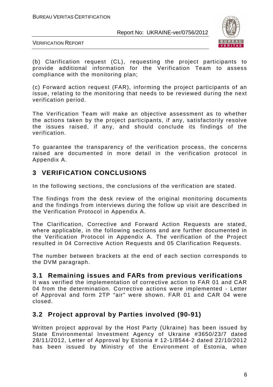

VERIFICATION REPORT

(b) Clarification request (CL), requesting the project participants to provide additional information for the Verification Team to assess compliance with the monitoring plan;

(c) Forward action request (FAR), informing the project participants of an issue, relating to the monitoring that needs to be reviewed during the next verification period.

The Verification Team will make an objective assessment as to whether the actions taken by the project participants, if any, satisfactorily resolve the issues raised, if any, and should conclude its findings of the verification.

To guarantee the transparency of the verification process, the concerns raised are documented in more detail in the verification protocol in Appendix A.

#### **3 VERIFICATION CONCLUSIONS**

In the following sections, the conclusions of the verification are stated.

The findings from the desk review of the original monitoring documents and the findings from interviews during the follow up visit are described in the Verification Protocol in Appendix A.

The Clarification, Corrective and Forward Action Requests are stated, where applicable, in the following sections and are further documented in the Verification Protocol in Appendix A. The verification of the Project resulted in 04 Corrective Action Requests and 05 Clarification Requests.

The number between brackets at the end of each section corresponds to the DVM paragraph.

#### **3.1 Remaining issues and FARs from previous verifications**

It was verified the implementation of corrective action to FAR 01 and CAR 04 from the determination. Corrective actions were implemented - Letter of Approval and form 2TP "air" were shown. FAR 01 and CAR 04 were closed.

#### **3.2 Project approval by Parties involved (90-91)**

Written project approval by the Host Party (Ukraine) has been issued by State Environmental Investment Agency of Ukraine #3650/23/7 dated 28/11/2012, Letter of Approval by Estonia # 12-1/8544-2 dated 22/10/2012 has been issued by Ministry of the Environment of Estonia, when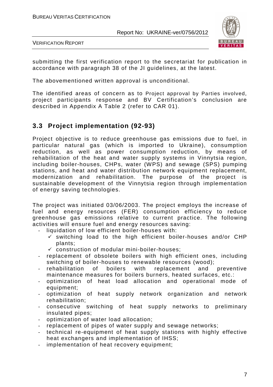

VERIFICATION REPORT

submitting the first verification report to the secretariat for publication in accordance with paragraph 38 of the JI guidelines, at the latest.

The abovementioned written approval is unconditional.

The identified areas of concern as to Project approval by Parties involved, project participants response and BV Certification's conclusion are described in Appendix A Table 2 (refer to CAR 01).

#### **3.3 Project implementation (92-93)**

Project objective is to reduce greenhouse gas emissions due to fuel, in particular natural gas (which is imported to Ukraine), consumption reduction, as well as power consumption reduction, by means of rehabilitation of the heat and water supply systems in Vinnytsia region, including boiler-houses, CHPs, water (WPS) and sewage (SPS) pumping stations, and heat and water distribution network equipment replacement, modernization and rehabilitation. The purpose of the project is sustainable development of the Vinnytsia region through implementation of energy saving technologies.

The project was initiated 03/06/2003. The project employs the increase of fuel and energy resources (FER) consumption efficiency to reduce greenhouse gas emissions relative to current practice. The following activities will ensure fuel and energy resources saving:

- liquidation of low efficient boiler-houses with:
	- $\checkmark$  switching load to the high efficient boiler-houses and/or CHP plants;
	- $\checkmark$  construction of modular mini-boiler-houses;
- replacement of obsolete boilers with high efficient ones, including switching of boiler-houses to renewable resources (wood);
- rehabilitation of boilers with replacement and preventive maintenance measures for boilers burners, heated surfaces, etc.:
- optimization of heat load allocation and operational mode of equipment;
- optimization of heat supply network organization and network rehabilitation;
- consecutive switching of heat supply networks to preliminary insulated pipes;
- optimization of water load allocation;
- replacement of pipes of water supply and sewage networks;
- technical re-equipment of heat supply stations with highly effective heat exchangers and implementation of IHSS;
- implementation of heat recovery equipment;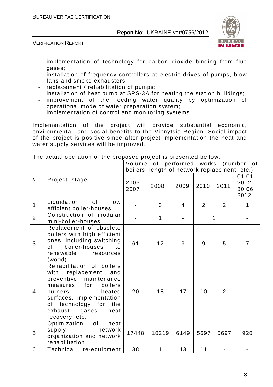

VERIFICATION REPORT

- implementation of technology for carbon dioxide binding from flue gases;
- installation of frequency controllers at electric drives of pumps, blow fans and smoke exhausters;
- replacement / rehabilitation of pumps;
- installation of heat pump at SPS-3A for heating the station buildings;
- improvement of the feeding water quality by optimization of operational mode of water preparation system;
- implementation of control and monitoring systems.

Implementation of the project will provide substantial economic, environmental, and social benefits to the Vinnytsia Region. Social impact of the project is positive since after project implementation the heat and water supply services will be improved.

|                |                                                                                                                                                                                                                                                                                                                           |                  | boilers, length of network replacement, etc.) |      |      |                | Volume of performed works (number of |
|----------------|---------------------------------------------------------------------------------------------------------------------------------------------------------------------------------------------------------------------------------------------------------------------------------------------------------------------------|------------------|-----------------------------------------------|------|------|----------------|--------------------------------------|
| #              | Project stage                                                                                                                                                                                                                                                                                                             | $2003 -$<br>2007 | 2008                                          | 2009 | 2010 | 2011           | 01.01.<br>$2012 -$<br>30.06.<br>2012 |
| $\mathbf 1$    | Liquidation<br>0f<br>low<br>efficient boiler-houses                                                                                                                                                                                                                                                                       |                  | 3                                             | 4    | 2    | 2              | 1                                    |
| $\overline{2}$ | Construction of modular<br>mini-boiler-houses                                                                                                                                                                                                                                                                             |                  | 1                                             |      |      | 1              |                                      |
| 3              | Replacement of obsolete<br>boilers with high efficient<br>ones, including switching<br>boiler-houses<br>of l<br>to<br>renewable<br>resources<br>(wood)                                                                                                                                                                    | 61               | 12                                            | 9    | 9    | 5              | $\overline{7}$                       |
| $\overline{4}$ | Rehabilitation of boilers<br>with<br>replacement<br>and<br>preventive maintenance<br>measures for<br>boilers<br>heated<br>burners,<br>surfaces, implementation<br>of technology for<br>the<br>exhaust<br>gases<br>heat<br>recovery, etc.                                                                                  | 20               | 18                                            | 17   | 10   | $\overline{2}$ |                                      |
| 5              | of the control of the control of the control of the control of the control of the control of the control of the control of the control of the control of the control of the control of the control of the control of the contr<br>Optimization<br>heat<br>supply<br>network<br>organization and network<br>rehabilitation | 17448            | 10219                                         | 6149 | 5697 | 5697           | 920                                  |
| 6              | Technical<br>re-equipment                                                                                                                                                                                                                                                                                                 | 38               | $\mathbf{1}$                                  | 13   | 11   |                |                                      |

The actual operation of the proposed project is presented bellow.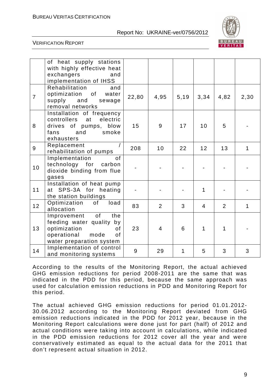

#### VERIFICATION REPORT

|                | of heat supply stations<br>with highly effective heat<br>exchangers<br>and<br>implementation of IHSS                                |       |                |              |                |      |              |
|----------------|-------------------------------------------------------------------------------------------------------------------------------------|-------|----------------|--------------|----------------|------|--------------|
| $\overline{7}$ | Rehabilitation<br>and<br>optimization of<br>water<br>supply<br>and<br>sewage<br>removal networks                                    | 22,80 | 4,95           | 5,19         | 3,34           | 4,82 | 2,30         |
| 8              | Installation of frequency<br>controllers at<br>electric<br>drives of pumps, blow<br>and<br>smoke<br>fans<br>exhausters              | 15    | 9              | 17           | 10             | 5    |              |
| 9              | Replacement<br>rehabilitation of pumps                                                                                              | 208   | 10             | 22           | 12             | 13   | $\mathbf{1}$ |
| 10             | Implementation<br><b>of</b><br>technology for carbon<br>dioxide binding from flue<br>gases                                          |       |                |              |                |      |              |
| 11             | Installation of heat pump<br>at SPS-3A for heating<br>the station buildings                                                         |       |                |              | 1              |      |              |
| 12             | load<br>Optimization of<br>allocation                                                                                               | 83    | $\overline{2}$ | 3            | $\overline{4}$ | 2    | $\mathbf{1}$ |
| 13             | of<br>the<br>Improvement<br>feeding water quality by<br>optimization<br>of<br>operational<br>mode<br>of<br>water preparation system | 23    | 4              | 6            | 1              | 1    |              |
| 14             | Implementation of control<br>and monitoring systems                                                                                 | 9     | 29             | $\mathbf{1}$ | 5              | 3    | 3            |

According to the results of the Monitoring Report, the actual achieved GHG emission reductions for period 2008-2011 are the same that was indicated in the PDD for this period, because the same approach was used for calculation emission reductions in PDD and Monitoring Report for this period.

The actual achieved GHG emission reductions for period 01.01.2012- 30.06.2012 according to the Monitoring Report deviated from GHG emission reductions indicated in the PDD for 2012 year, because in the Monitoring Report calculations were done just for part (half) of 2012 and actual conditions were taking into account in calculations, while indicated in the PDD emission reductions for 2012 cover all the year and were conservatively estimated as equal to the actual data for the 2011 that don't represent actual situation in 2012.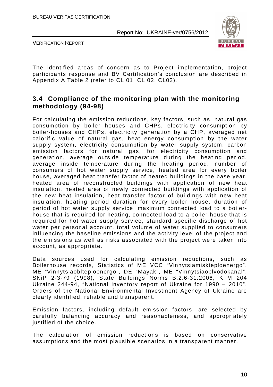

VERIFICATION REPORT

The identified areas of concern as to Project implementation, project participants response and BV Certification's conclusion are described in Appendix A Table 2 (refer to CL 01, CL 02, CL03).

#### **3.4 Compliance of the monitoring plan with the monitoring methodology (94-98)**

For calculating the emission reductions, key factors, such as, natural gas consumption by boiler houses and CHPs, electricity consumption by boiler-houses and CHPs, electricity generation by a CHP, averaged net calorific value of natural gas, heat energy consumption by the water supply system, electricity consumption by water supply system, carbon emission factors for natural gas, for electricity consumption and generation, average outside temperature during the heating period, average inside temperature during the heating period, number of consumers of hot water supply service, heated area for every boiler house, averaged heat transfer factor of heated buildings in the base year, heated area of reconstructed buildings with application of new heat insulation, heated area of newly connected buildings with application of the new heat insulation, heat transfer factor of buildings with new heat insulation, heating period duration for every boiler house, duration of period of hot water supply service, maximum connected load to a boilerhouse that is required for heating, connected load to a boiler-house that is required for hot water supply service, standard specific discharge of hot water per personal account, total volume of water supplied to consumers influencing the baseline emissions and the activity level of the project and the emissions as well as risks associated with the project were taken into account, as appropriate.

Data sources used for calculating emission reductions, such as Boilerhouse records, Statistics of ME VCC "Vinnytsiamiskteploenergo", ME "Vinnytsiaoblteploenergo", DE "Mayak", ME "Vinnytsiaoblvodokanal", SNiP 2-3-79 (1998), State Buildings Norms B.2.6-31:2006, KTM 204 Ukraine 244-94, "National inventory report of Ukraine for 1990 – 2010", Orders of the National Environmental Investment Agency of Ukraine are clearly identified, reliable and transparent.

Emission factors, including default emission factors, are selected by carefully balancing accuracy and reasonableness, and appropriately justified of the choice.

The calculation of emission reductions is based on conservative assumptions and the most plausible scenarios in a transparent manner.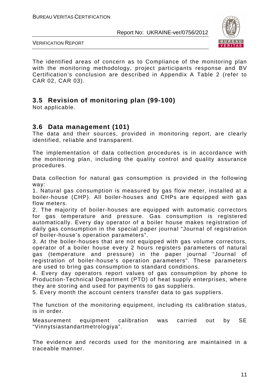

VERIFICATION REPORT

The identified areas of concern as to Compliance of the monitoring plan with the monitoring methodology, project participants response and BV Certification's conclusion are described in Appendix A Table 2 (refer to CAR 02, CAR 03).

#### **3.5 Revision of monitoring plan (99-100)**

Not applicable.

#### **3.6 Data management (101)**

The data and their sources, provided in monitoring report, are clearly identified, reliable and transparent.

The implementation of data collection procedures is in accordance with the monitoring plan, including the quality control and quality assurance procedures.

Data collection for natural gas consumption is provided in the following way:

1. Natural gas consumption is measured by gas flow meter, installed at a boiler-house (CHP). All boiler-houses and CHPs are equipped with gas flow meters.

2. The majority of boiler-houses are equipped with automatic correctors for gas temperature and pressure. Gas consumption is registered automatically. Every day operator of a boiler house makes registration of daily gas consumption in the special paper journal "Journal of registration of boiler-house's operation parameters".

3. At the boiler-houses that are not equipped with gas volume correctors, operator of a boiler house every 2 hours registers parameters of natural gas (temperature and pressure) in the paper journal "Journal of registration of boiler-house's operation parameters". These parameters are used to bring gas consumption to standard conditions.

4. Every day operators report values of gas consumption by phone to Production-Technical Department (PTD) of heat supply enterprises, where they are storing and used for payments to gas suppliers.

5. Every month the account centers transfer data to gas suppliers.

The function of the monitoring equipment, including its calibration status, is in order.

Measurement equipment calibration was carried out by SE "Vinnytsiastandartmetrologiya".

The evidence and records used for the monitoring are maintained in a traceable manner.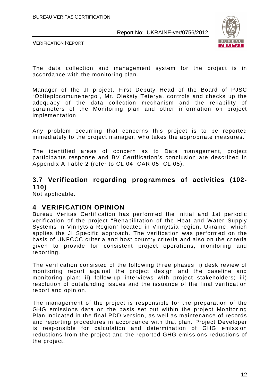

VERIFICATION REPORT

The data collection and management system for the project is in accordance with the monitoring plan.

Manager of the JI project, First Deputy Head of the Board of PJSC "Oblteplocomunenergo", Mr. Oleksiy Teterya, controls and checks up the adequacy of the data collection mechanism and the reliability of parameters of the Monitoring plan and other information on project implementation.

Any problem occurring that concerns this project is to be reported immediately to the project manager, who takes the appropriate measures.

The identified areas of concern as to Data management, project participants response and BV Certification's conclusion are described in Appendix A Table 2 (refer to CL 04, CAR 05, CL 05).

#### **3.7 Verification regarding programmes of activities (102- 110)**

Not applicable.

#### **4 VERIFICATION OPINION**

Bureau Veritas Certification has performed the initial and 1st periodic verification of the project "Rehabilitation of the Heat and Water Supply Systems in Vinnytsia Region" located in Vinnytsia region, Ukraine, which applies the JI Specific approach. The verification was performed on the basis of UNFCCC criteria and host country criteria and also on the criteria given to provide for consistent project operations, monitoring and reporting.

The verification consisted of the following three phases: i) desk review of monitoring report against the project design and the baseline and monitoring plan; ii) follow-up interviews with project stakeholders; iii) resolution of outstanding issues and the issuance of the final verification report and opinion.

The management of the project is responsible for the preparation of the GHG emissions data on the basis set out within the project Monitoring Plan indicated in the final PDD version, as well as maintenance of records and reporting procedures in accordance with that plan. Project Developer is responsible for calculation and determination of GHG emission reductions from the project and the reported GHG emissions reductions of the project.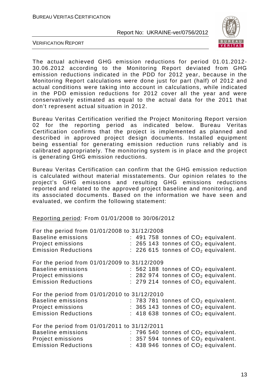

VERIFICATION REPORT

The actual achieved GHG emission reductions for period 01.01.2012- 30.06.2012 according to the Monitoring Report deviated from GHG emission reductions indicated in the PDD for 2012 year, because in the Monitoring Report calculations were done just for part (half) of 2012 and actual conditions were taking into account in calculations, while indicated in the PDD emission reductions for 2012 cover all the year and were conservatively estimated as equal to the actual data for the 2011 that don't represent actual situation in 2012.

Bureau Veritas Certification verified the Project Monitoring Report version 02 for the reporting period as indicated below. Bureau Veritas Certification confirms that the project is implemented as planned and described in approved project design documents. Installed equipment being essential for generating emission reduction runs reliably and is calibrated appropriately. The monitoring system is in place and the project is generating GHG emission reductions.

Bureau Veritas Certification can confirm that the GHG emission reduction is calculated without material misstatements. Our opinion relates to the project's GHG emissions and resulting GHG emissions reductions reported and related to the approved project baseline and monitoring, and its associated documents. Based on the information we have seen and evaluated, we confirm the following statement:

Reporting period: From 01/01/2008 to 30/06/2012

| For the period from 01/01/2008 to 31/12/2008 |  |  |                                         |  |
|----------------------------------------------|--|--|-----------------------------------------|--|
| <b>Baseline emissions</b>                    |  |  | : 491 758 tonnes of $CO2$ equivalent.   |  |
| Project emissions                            |  |  | $: 265$ 143 tonnes of $CO2$ equivalent. |  |
| <b>Emission Reductions</b>                   |  |  | $: 226615$ tonnes of $CO2$ equivalent.  |  |
| For the period from 01/01/2009 to 31/12/2009 |  |  |                                         |  |
| <b>Baseline emissions</b>                    |  |  | $: 562$ 188 tonnes of $CO2$ equivalent. |  |
| Project emissions                            |  |  | $: 282974$ tonnes of $CO2$ equivalent.  |  |
| <b>Emission Reductions</b>                   |  |  | $: 279214$ tonnes of $CO2$ equivalent.  |  |
| For the period from 01/01/2010 to 31/12/2010 |  |  |                                         |  |
| <b>Baseline emissions</b>                    |  |  | $: 783781$ tonnes of $CO2$ equivalent.  |  |
| Project emissions                            |  |  | $: 365143$ tonnes of $CO2$ equivalent.  |  |
| <b>Emission Reductions</b>                   |  |  | $:$ 418 638 tonnes of $CO2$ equivalent. |  |
| For the period from 01/01/2011 to 31/12/2011 |  |  |                                         |  |
| <b>Baseline emissions</b>                    |  |  | $: 796540$ tonnes of $CO2$ equivalent.  |  |
| Project emissions                            |  |  | $: 357594$ tonnes of $CO2$ equivalent.  |  |
| <b>Emission Reductions</b>                   |  |  | : 438 946 tonnes of $CO2$ equivalent.   |  |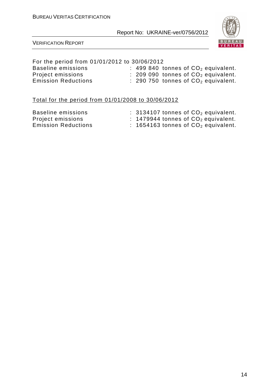

#### VERIFICATION REPORT

#### For the period from 01/01/2012 to 30/06/2012

| Baseline emissions         | $\therefore$ 499 840 tonnes of $CO2$ equivalent. |
|----------------------------|--------------------------------------------------|
| Project emissions          | $\therefore$ 209 090 tonnes of $CO2$ equivalent. |
| <b>Emission Reductions</b> | $\therefore$ 290 750 tonnes of $CO2$ equivalent. |

#### Total for the period from 01/01/2008 to 30/06/2012

| Baseline emissions         | $\therefore$ 3134107 tonnes of $CO2$ equivalent. |
|----------------------------|--------------------------------------------------|
| Project emissions          | $\therefore$ 1479944 tonnes of $CO2$ equivalent. |
| <b>Emission Reductions</b> | : 1654163 tonnes of $CO2$ equivalent.            |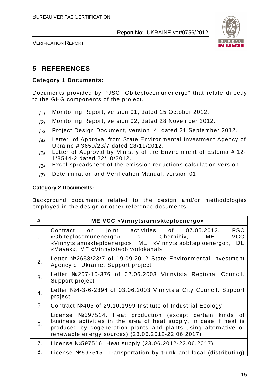

VERIFICATION REPORT

#### **5 REFERENCES**

#### **Category 1 Documents:**

Documents provided by PJSC "Oblteplocomunenergo" that relate directly to the GHG components of the project.

- /1/ Monitoring Report, version 01, dated 15 October 2012.
- /2/ Monitoring Report, version 02, dated 28 November 2012.
- /3/ Project Design Document, version 4, dated 21 September 2012.
- /4/ Letter of Approval from State Environmental Investment Agency of Ukraine # 3650/23/7 dated 28/11/2012.
- $/5/$  Letter of Approval by Ministry of the Environment of Estonia # 12-1/8544-2 dated 22/10/2012.
- $/6/$  Excel spreadsheet of the emission reductions calculation version
- /7/ Determination and Verification Manual, version 01.

#### **Category 2 Documents:**

Background documents related to the design and/or methodologies employed in the design or other reference documents.

| #                | ME VCC «Vinnytsiamiskteploenergo»                                                                                                                                                                                                                       |
|------------------|---------------------------------------------------------------------------------------------------------------------------------------------------------------------------------------------------------------------------------------------------------|
| 1.               | <b>PSC</b><br>Contract on joint activities of 07.05.2012.<br>ME VCC<br>«Oblteplocomunenergo» c. Chernihiv,<br>«Vinnytsiamiskteploenergo», ME «Vinnytsiaoblteploenergo»,<br>DE<br>«Mayak», ME «Vinnytsiaoblvodokanal»                                    |
| 2.               | Letter Nº2658/23/7 of 19.09.2012 State Environmental Investment<br>Agency of Ukraine. Support project                                                                                                                                                   |
| 3.               | Letter №207-10-376 of 02.06.2003 Vinnytsia Regional Council.<br>Support project                                                                                                                                                                         |
| $\overline{4}$ . | Letter Nº4-3-6-2394 of 03.06.2003 Vinnytsia City Council. Support<br>project                                                                                                                                                                            |
| 5.               | Contract №405 of 29.10.1999 Institute of Industrial Ecology                                                                                                                                                                                             |
| 6.               | License №597514. Heat production (except certain kinds of<br>business activities in the area of heat supply, in case if heat is<br>produced by cogeneration plants and plants using alternative or<br>renewable energy sources) (23.06.2012-22.06.2017) |
| 7.               | License №597516. Heat supply (23.06.2012-22.06.2017)                                                                                                                                                                                                    |
| 8.               | License Nº597515. Transportation by trunk and local (distributing)                                                                                                                                                                                      |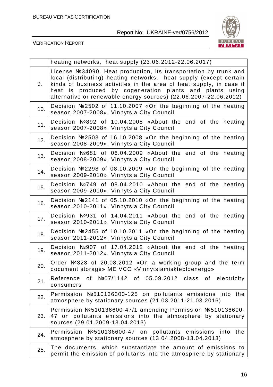

|     | heating networks, heat supply (23.06.2012-22.06.2017)                                                                                                                                                                                                                                                                                         |
|-----|-----------------------------------------------------------------------------------------------------------------------------------------------------------------------------------------------------------------------------------------------------------------------------------------------------------------------------------------------|
| 9.  | License №34090. Heat production, its transportation by trunk and<br>local (distributing) heating networks, heat supply (except certain<br>kinds of business activities in the area of heat supply, in case if<br>heat is produced by cogeneration plants and plants using<br>alternative or renewable energy sources) (22.06.2007-22.06.2012) |
| 10. | Decision №2502 of 11.10.2007 «On the beginning of the heating<br>season 2007-2008». Vinnytsia City Council                                                                                                                                                                                                                                    |
| 11. | Decision Nº892 of 10.04.2008 «About the end of the heating<br>season 2007-2008». Vinnytsia City Council                                                                                                                                                                                                                                       |
| 12. | Decision №2503 of 16.10.2008 «On the beginning of the heating<br>season 2008-2009». Vinnytsia City Council                                                                                                                                                                                                                                    |
| 13. | Decision Nº681 of 06.04.2009 «About the end of the heating<br>season 2008-2009». Vinnytsia City Council                                                                                                                                                                                                                                       |
| 14. | Decision Nº2298 of 08.10.2009 «On the beginning of the heating<br>season 2009-2010». Vinnytsia City Council                                                                                                                                                                                                                                   |
| 15. | Decision №749 of 08.04.2010 «About the end of the heating<br>season 2009-2010». Vinnytsia City Council                                                                                                                                                                                                                                        |
| 16. | Decision Nº2141 of 05.10.2010 «On the beginning of the heating<br>season 2010-2011». Vinnytsia City Council                                                                                                                                                                                                                                   |
| 17. | Decision Nº931 of 14.04.2011 «About the end of the heating<br>season 2010-2011». Vinnytsia City Council                                                                                                                                                                                                                                       |
| 18. | Decision Nº2455 of 10.10.2011 «On the beginning of the heating<br>season 2011-2012». Vinnytsia City Council                                                                                                                                                                                                                                   |
| 19. | Decision Nº907 of 17.04.2012 «About the end of the heating<br>season 2011-2012». Vinnytsia City Council                                                                                                                                                                                                                                       |
| 20. | Order Nº323 of 20.08.2012 «On a working group and the term<br>document storage» ME VCC «Vinnytsiamiskteploenergo»                                                                                                                                                                                                                             |
| 21. | of Nº07/1142 of 05.09.2012 class<br>of electricity<br>Reference<br>consumers                                                                                                                                                                                                                                                                  |
| 22. | Permission №510136300-125 on pollutants emissions into the<br>atmosphere by stationary sources (21.03.2011-21.03.2016)                                                                                                                                                                                                                        |
| 23. | Permission Nº510136600-47/1 amending Permission Nº510136600-<br>47 on pollutants emissions into the atmosphere by stationary<br>sources (29.01.2009-13.04.2013)                                                                                                                                                                               |
| 24. | Permission<br>Nº 510136600-47 on pollutants emissions<br>the<br>into<br>atmosphere by stationary sources (13.04.2008-13.04.2013)                                                                                                                                                                                                              |
| 25. | The documents, which substantiate the amount of emissions to<br>permit the emission of pollutants into the atmosphere by stationary                                                                                                                                                                                                           |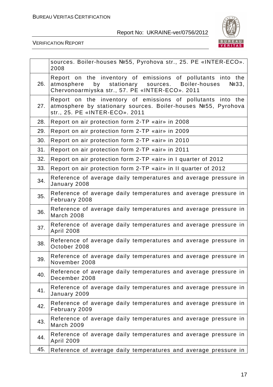

|     | sources. Boiler-houses №55, Pyrohova str., 25. PE «INTER-ECO».<br>2008                                                                                                                         |
|-----|------------------------------------------------------------------------------------------------------------------------------------------------------------------------------------------------|
| 26. | Report on the inventory of emissions of pollutants into the<br>stationary sources.<br>Boiler-houses<br>atmosphere<br>by<br>N <sub>233</sub><br>Chervonoarmiyska str., 57. PE «INTER-ECO». 2011 |
| 27. | Report on the inventory of emissions of pollutants into the<br>atmosphere by stationary sources. Boiler-houses №55, Pyrohova<br>str., 25. PE «INTER-ECO». 2011                                 |
| 28. | Report on air protection form 2-TP «air» in 2008                                                                                                                                               |
| 29. | Report on air protection form 2-TP «air» in 2009                                                                                                                                               |
| 30. | Report on air protection form 2-TP «air» in 2010                                                                                                                                               |
| 31. | Report on air protection form 2-TP «air» in 2011                                                                                                                                               |
| 32. | Report on air protection form 2-TP «air» in I quarter of 2012                                                                                                                                  |
| 33. | Report on air protection form 2-TP «air» in II quarter of 2012                                                                                                                                 |
| 34. | Reference of average daily temperatures and average pressure in<br>January 2008                                                                                                                |
| 35. | Reference of average daily temperatures and average pressure in<br>February 2008                                                                                                               |
| 36. | Reference of average daily temperatures and average pressure in<br><b>March 2008</b>                                                                                                           |
| 37. | Reference of average daily temperatures and average pressure in<br><b>April 2008</b>                                                                                                           |
| 38. | Reference of average daily temperatures and average pressure in<br>October 2008                                                                                                                |
| 39. | Reference of average daily temperatures and average pressure in<br>November 2008                                                                                                               |
| 40. | Reference of average daily temperatures and average pressure in<br>December 2008                                                                                                               |
| 41. | Reference of average daily temperatures and average pressure in<br>January 2009                                                                                                                |
| 42. | Reference of average daily temperatures and average pressure in<br>February 2009                                                                                                               |
| 43. | Reference of average daily temperatures and average pressure in<br><b>March 2009</b>                                                                                                           |
| 44. | Reference of average daily temperatures and average pressure in<br>April 2009                                                                                                                  |
| 45. | Reference of average daily temperatures and average pressure in                                                                                                                                |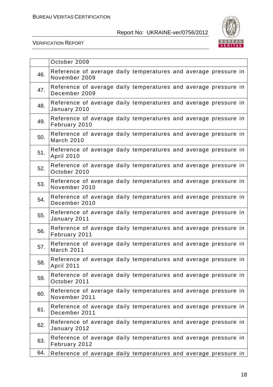

|     | October 2009                                                                         |
|-----|--------------------------------------------------------------------------------------|
| 46. | Reference of average daily temperatures and average pressure in<br>November 2009     |
| 47. | Reference of average daily temperatures and average pressure in<br>December 2009     |
| 48. | Reference of average daily temperatures and average pressure in<br>January 2010      |
| 49. | Reference of average daily temperatures and average pressure in<br>February 2010     |
| 50. | Reference of average daily temperatures and average pressure in<br><b>March 2010</b> |
| 51. | Reference of average daily temperatures and average pressure in<br><b>April 2010</b> |
| 52. | Reference of average daily temperatures and average pressure in<br>October 2010      |
| 53. | Reference of average daily temperatures and average pressure in<br>November 2010     |
| 54. | Reference of average daily temperatures and average pressure in<br>December 2010     |
| 55. | Reference of average daily temperatures and average pressure in<br>January 2011      |
| 56. | Reference of average daily temperatures and average pressure in<br>February 2011     |
| 57. | Reference of average daily temperatures and average pressure in<br><b>March 2011</b> |
| 58. | Reference of average daily temperatures and average pressure in<br><b>April 2011</b> |
| 59. | Reference of average daily temperatures and average pressure in<br>October 2011      |
| 60. | Reference of average daily temperatures and average pressure in<br>November 2011     |
| 61. | Reference of average daily temperatures and average pressure in<br>December 2011     |
| 62. | Reference of average daily temperatures and average pressure in<br>January 2012      |
| 63. | Reference of average daily temperatures and average pressure in<br>February 2012     |
| 64. | Reference of average daily temperatures and average pressure in                      |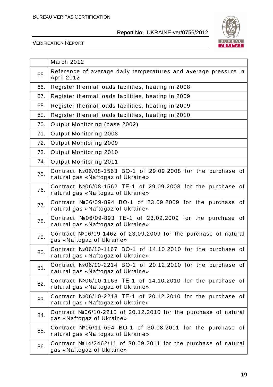

|     | March 2012                                                                                          |
|-----|-----------------------------------------------------------------------------------------------------|
| 65. | Reference of average daily temperatures and average pressure in<br><b>April 2012</b>                |
| 66. | Register thermal loads facilities, heating in 2008                                                  |
| 67. | Register thermal loads facilities, heating in 2009                                                  |
| 68. | Register thermal loads facilities, heating in 2009                                                  |
| 69. | Register thermal loads facilities, heating in 2010                                                  |
| 70. | Output Monitoring (base 2002)                                                                       |
| 71. | Output Monitoring 2008                                                                              |
| 72. | Output Monitoring 2009                                                                              |
| 73. | Output Monitoring 2010                                                                              |
| 74. | Output Monitoring 2011                                                                              |
| 75. | Contract $N206/08-1563$ BO-1 of 29.09.2008 for the purchase of<br>natural gas «Naftogaz of Ukraine» |
| 76. | Contract №06/08-1562 TE-1 of 29.09.2008 for the purchase of<br>natural gas «Naftogaz of Ukraine»    |
| 77. | Contract №06/09-894 BO-1 of 23.09.2009 for the purchase of<br>natural gas «Naftogaz of Ukraine»     |
| 78. | Contract №06/09-893 TE-1 of 23.09.2009 for the purchase of<br>natural gas «Naftogaz of Ukraine»     |
| 79. | Contract $N206/09-1462$ of 23.09.2009 for the purchase of natural<br>gas «Naftogaz of Ukraine»      |
| 80. | Contract №06/10-1167 BO-1 of 14.10.2010 for the purchase of<br>natural gas «Naftogaz of Ukraine»    |
| 81. | Contract №06/10-2214 BO-1 of 20.12.2010 for the purchase of<br>natural gas «Naftogaz of Ukraine»    |
| 82. | Contract №06/10-1166 TE-1 of 14.10.2010 for the purchase of<br>natural gas «Naftogaz of Ukraine»    |
| 83. | Contract $N206/10-2213$ TE-1 of 20.12.2010 for the purchase of<br>natural gas «Naftogaz of Ukraine» |
| 84. | Contract $N206/10-2215$ of 20.12.2010 for the purchase of natural<br>gas «Naftogaz of Ukraine»      |
| 85. | Contract $N206/11-694$ BO-1 of 30.08.2011 for the purchase of<br>natural gas «Naftogaz of Ukraine»  |
| 86. | Contract $N214/2462/11$ of 30.09.2011 for the purchase of natural<br>gas «Naftogaz of Ukraine»      |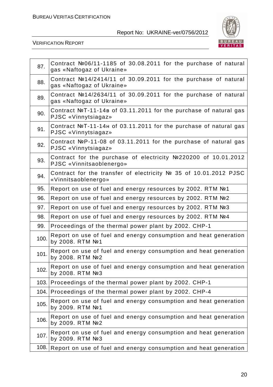

| 87.  | Contract №06/11-1185 of 30.08.2011 for the purchase of natural<br>gas «Naftogaz of Ukraine»    |
|------|------------------------------------------------------------------------------------------------|
| 88.  | Contract $N214/2414/11$ of 30.09.2011 for the purchase of natural<br>gas «Naftogaz of Ukraine» |
| 89.  | Contract $N214/2634/11$ of 30.09.2011 for the purchase of natural<br>gas «Naftogaz of Ukraine» |
| 90.  | Contract $N2T-11-14B$ of 03.11.2011 for the purchase of natural gas<br>PJSC «Vinnytsiagaz»     |
| 91.  | Contract NºT-11-14H of 03.11.2011 for the purchase of natural gas<br>PJSC «Vinnytsiagaz»       |
| 92.  | Contract NºP-11-08 of 03.11.2011 for the purchase of natural gas<br>PJSC «Vinnytsiagaz»        |
| 93.  | Contract for the purchase of electricity Nº220200 of 10.01.2012<br>PJSC «Vinnitsaoblenergo»    |
| 94.  | Contract for the transfer of electricity Nº 35 of 10.01.2012 PJSC<br>«Vinnitsaoblenergo»       |
| 95.  | Report on use of fuel and energy resources by 2002. RTM №1                                     |
| 96.  | Report on use of fuel and energy resources by 2002. RTM Nº2                                    |
| 97.  | Report on use of fuel and energy resources by 2002. RTM №3                                     |
| 98.  | Report on use of fuel and energy resources by 2002. RTM №4                                     |
| 99.  | Proceedings of the thermal power plant by 2002. CHP-1                                          |
| 100. | Report on use of fuel and energy consumption and heat generation<br>by 2008. RTM No 1          |
| 101. | Report on use of fuel and energy consumption and heat generation<br>by 2008. RTM №2            |
| 102. | Report on use of fuel and energy consumption and heat generation<br>by 2008. RTM Nº3           |
|      | 103. Proceedings of the thermal power plant by 2002. CHP-1                                     |
|      | 104. Proceedings of the thermal power plant by 2002. CHP-4                                     |
| 105. | Report on use of fuel and energy consumption and heat generation<br>by 2009. RTM №1            |
| 106. | Report on use of fuel and energy consumption and heat generation<br>by 2009. RTM №2            |
| 107. | Report on use of fuel and energy consumption and heat generation<br>by 2009. RTM №3            |
| 108. | Report on use of fuel and energy consumption and heat generation                               |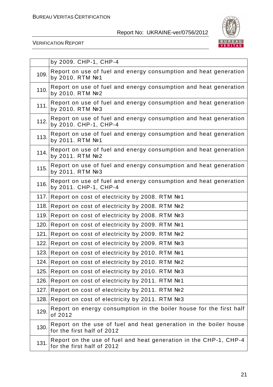

|       | by 2009. CHP-1, CHP-4                                                                           |
|-------|-------------------------------------------------------------------------------------------------|
| 109.  | Report on use of fuel and energy consumption and heat generation<br>by 2010. RTM Nº1            |
| 110.  | Report on use of fuel and energy consumption and heat generation<br>by 2010. RTM Nº2            |
| 111.  | Report on use of fuel and energy consumption and heat generation<br>by 2010. RTM №3             |
| 112.  | Report on use of fuel and energy consumption and heat generation<br>by 2010. CHP-1, CHP-4       |
| 113.  | Report on use of fuel and energy consumption and heat generation<br>by 2011. RTM Nº1            |
| 114.  | Report on use of fuel and energy consumption and heat generation<br>by 2011. RTM №2             |
| 115.  | Report on use of fuel and energy consumption and heat generation<br>by 2011. RTM №3             |
| 116.  | Report on use of fuel and energy consumption and heat generation<br>by 2011. CHP-1, CHP-4       |
|       | 117. Report on cost of electricity by 2008. RTM №1                                              |
| 118.  | Report on cost of electricity by 2008. RTM №2                                                   |
| 119.  | Report on cost of electricity by 2008. RTM №3                                                   |
|       | 120. Report on cost of electricity by 2009. RTM №1                                              |
| 121.  | Report on cost of electricity by 2009. RTM №2                                                   |
| 122.1 | Report on cost of electricity by 2009. RTM №3                                                   |
| 123.1 | Report on cost of electricity by 2010. RTM №1                                                   |
|       | 124. Report on cost of electricity by 2010. RTM №2                                              |
| 125.  | Report on cost of electricity by 2010. RTM №3                                                   |
| 126.  | Report on cost of electricity by 2011. RTM №1                                                   |
| 127.  | Report on cost of electricity by 2011. RTM №2                                                   |
| 128.  | Report on cost of electricity by 2011. RTM №3                                                   |
| 129.  | Report on energy consumption in the boiler house for the first half<br>of 2012                  |
| 130.  | Report on the use of fuel and heat generation in the boiler house<br>for the first half of 2012 |
| 131.  | Report on the use of fuel and heat generation in the CHP-1, CHP-4<br>for the first half of 2012 |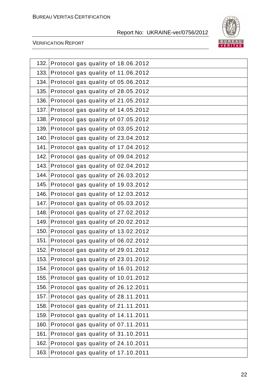

| 132. | Protocol gas quality of 18.06.2012      |
|------|-----------------------------------------|
| 133. | Protocol gas quality of 11.06.2012      |
| 134. | Protocol gas quality of 05.06.2012      |
| 135. | Protocol gas quality of 28.05.2012      |
| 136. | Protocol gas quality of 21.05.2012      |
| 137. | Protocol gas quality of 14.05.2012      |
| 138. | Protocol gas quality of 07.05.2012      |
| 139. | Protocol gas quality of 03.05.2012      |
| 140. | Protocol gas quality of 23.04.2012      |
| 141. | Protocol gas quality of 17.04.2012      |
| 142. | Protocol gas quality of 09.04.2012      |
| 143. | Protocol gas quality of 02.04.2012      |
| 144. | Protocol gas quality of 26.03.2012      |
| 145. | Protocol gas quality of 19.03.2012      |
| 146. | Protocol gas quality of 12.03.2012      |
| 147. | Protocol gas quality of 05.03.2012      |
| 148. | Protocol gas quality of 27.02.2012      |
| 149. | Protocol gas quality of 20.02.2012      |
| 150. | Protocol gas quality of 13.02.2012      |
| 151. | Protocol gas quality of 06.02.2012      |
| 152. | Protocol gas quality of 29.01.2012      |
|      | 153. Protocol gas quality of 23.01.2012 |
| 154. | Protocol gas quality of 16.01.2012      |
| 155. | Protocol gas quality of 10.01.2012      |
| 156. | Protocol gas quality of 26.12.2011      |
| 157. | Protocol gas quality of 28.11.2011      |
| 158. | Protocol gas quality of 21.11.2011      |
| 159. | Protocol gas quality of 14.11.2011      |
| 160. | Protocol gas quality of 07.11.2011      |
| 161. | Protocol gas quality of 31.10.2011      |
| 162. | Protocol gas quality of 24.10.2011      |
| 163. | Protocol gas quality of 17.10.2011      |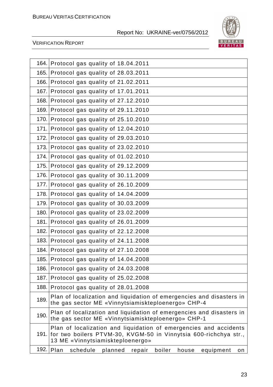

| 164. | Protocol gas quality of 18.04.2011                                                                                                                                             |
|------|--------------------------------------------------------------------------------------------------------------------------------------------------------------------------------|
| 165. | Protocol gas quality of 28.03.2011                                                                                                                                             |
| 166. | Protocol gas quality of 21.02.2011                                                                                                                                             |
| 167. | Protocol gas quality of 17.01.2011                                                                                                                                             |
| 168. | Protocol gas quality of 27.12.2010                                                                                                                                             |
| 169. | Protocol gas quality of 29.11.2010                                                                                                                                             |
| 170. | Protocol gas quality of 25.10.2010                                                                                                                                             |
| 171. | Protocol gas quality of 12.04.2010                                                                                                                                             |
| 172. | Protocol gas quality of 29.03.2010                                                                                                                                             |
| 173. | Protocol gas quality of 23.02.2010                                                                                                                                             |
| 174. | Protocol gas quality of 01.02.2010                                                                                                                                             |
| 175. | Protocol gas quality of 29.12.2009                                                                                                                                             |
| 176. | Protocol gas quality of 30.11.2009                                                                                                                                             |
| 177. | Protocol gas quality of 26.10.2009                                                                                                                                             |
| 178. | Protocol gas quality of 14.04.2009                                                                                                                                             |
| 179. | Protocol gas quality of 30.03.2009                                                                                                                                             |
| 180. | Protocol gas quality of 23.02.2009                                                                                                                                             |
| 181. | Protocol gas quality of 26.01.2009                                                                                                                                             |
| 182. | Protocol gas quality of 22.12.2008                                                                                                                                             |
| 183. | Protocol gas quality of 24.11.2008                                                                                                                                             |
| 184. | Protocol gas quality of 27.10.2008                                                                                                                                             |
| 185. | Protocol gas quality of 14.04.2008                                                                                                                                             |
| 186. | Protocol gas quality of 24.03.2008                                                                                                                                             |
| 187. | Protocol gas quality of 25.02.2008                                                                                                                                             |
| 188. | Protocol gas quality of 28.01.2008                                                                                                                                             |
| 189. | Plan of localization and liquidation of emergencies and disasters in<br>the gas sector ME «Vinnytsiamiskteploenergo» CHP-4                                                     |
| 190. | Plan of localization and liquidation of emergencies and disasters in<br>the gas sector ME «Vinnytsiamiskteploenergo» CHP-1                                                     |
|      | Plan of localization and liquidation of emergencies and accidents<br>191. for two boilers PTVM-30, KVGM-50 in Vinnytsia 600-richchya str.,<br>13 ME «Vinnytsiamiskteploenergo» |
| 192. | Plan<br>schedule<br>planned<br>boiler<br>repair<br>house<br>equipment<br>on                                                                                                    |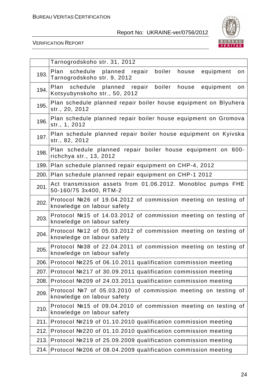

|      | Tarnogrodskoho str. 31, 2012                                                                               |
|------|------------------------------------------------------------------------------------------------------------|
| 193. | boiler<br>Plan<br>schedule<br>planned<br>repair<br>equipment<br>house<br>on<br>Tarnogrodskoho str. 9, 2012 |
| 194. | boiler<br>Plan schedule<br>planned<br>repair<br>house<br>equipment<br>on<br>Kotsyubynskoho str., 50, 2012  |
| 195. | Plan schedule planned repair boiler house equipment on Blyuhera<br>str., 20, 2012                          |
| 196. | Plan schedule planned repair boiler house equipment on Gromova<br>str., 1, 2012                            |
| 197. | Plan schedule planned repair boiler house equipment on Kyivska<br>str., 82, 2012                           |
| 198. | Plan schedule planned repair boiler house equipment on 600-<br>richchya str., 13, 2012                     |
|      | 199. Plan schedule planned repair equipment on CHP-4, 2012                                                 |
|      | 200. Plan schedule planned repair equipment on CHP-1 2012                                                  |
| 201. | Act transmission assets from 01.06.2012. Monobloc pumps FHE<br>50-160/75 3x400, RTM-2                      |
| 202. | Protocol №26 of 19.04.2012 of commission meeting on testing of<br>knowledge on labour safety               |
| 203. | Protocol №15 of 14.03.2012 of commission meeting on testing of<br>knowledge on labour safety               |
| 204. | Protocol №12 of 05.03.2012 of commission meeting on testing of<br>knowledge on labour safety               |
| 205. | Protocol №38 of 22.04.2011 of commission meeting on testing of<br>knowledge on labour safety               |
|      | 206. Protocol №225 of 06.10.2011 qualification commission meeting                                          |
| 207. | Protocol №217 of 30.09.2011 qualification commission meeting                                               |
| 208. | Protocol №209 of 24.03.2011 qualification commission meeting                                               |
| 209. | Protocol Nº7 of 05.03.2010 of commission meeting on testing of<br>knowledge on labour safety               |
| 210. | Protocol №15 of 09.04.2010 of commission meeting on testing of<br>knowledge on labour safety               |
|      | 211. Protocol №219 of 01.10.2010 qualification commission meeting                                          |
| 212. | Protocol №220 of 01.10.2010 qualification commission meeting                                               |
| 213. | Protocol №219 of 25.09.2009 qualification commission meeting                                               |
|      | 214. Protocol №206 of 08.04.2009 qualification commission meeting                                          |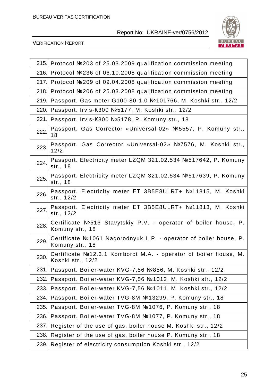

| 215. | Protocol №203 of 25.03.2009 qualification commission meeting                           |
|------|----------------------------------------------------------------------------------------|
| 216. | Protocol №236 of 06.10.2008 qualification commission meeting                           |
| 217. | Protocol №209 of 09.04.2008 qualification commission meeting                           |
|      | 218. Protocol №206 of 25.03.2008 qualification commission meeting                      |
| 219. | Passport. Gas meter G100-80-1,0 №101766, M. Koshki str., 12/2                          |
| 220. | Passport. Irvis-K300 №5177, M. Koshki str., 12/2                                       |
| 221. | Passport. Irvis-K300 №5178, P. Komuny str., 18                                         |
| 222. | Passport. Gas Corrector «Universal-02» №5557, P. Komuny str.,<br>18                    |
| 223. | Passport. Gas Corrector «Universal-02» №7576, M. Koshki str.,<br>12/2                  |
| 224. | Passport. Electricity meter LZQM 321.02.534 №517642, P. Komuny<br>str., 18             |
| 225. | Passport. Electricity meter LZQM 321.02.534 №517639, P. Komuny<br>str., 18             |
| 226. | Passport. Electricity meter ET 3B5E8ULRT+ Nº11815, M. Koshki<br>str., 12/2             |
| 227. | Passport. Electricity meter ET 3B5E8ULRT+ №11813, M. Koshki<br>str., 12/2              |
| 228. | Certificate Nº516 Stavytskiy P.V. - operator of boiler house, P.<br>Komuny str., 18    |
| 229. | Certificate Nº1061 Nagorodnyuk L.P. - operator of boiler house, P.<br>Komuny str., 18  |
| 230. | Certificate Nº12.3.1 Komborot M.A. - operator of boiler house, M.<br>Koshki str., 12/2 |
| 231. | Passport. Boiler-water KVG-7,56 №856, M. Koshki str., 12/2                             |
| 232. | Passport. Boiler-water KVG-7,56 №1012, M. Koshki str., 12/2                            |
| 233. | Passport. Boiler-water KVG-7,56 №1011, M. Koshki str., 12/2                            |
| 234. | Passport. Boiler-water TVG-8M №13299, P. Komuny str., 18                               |
| 235. | Passport. Boiler-water TVG-8M №1076, P. Komuny str., 18                                |
| 236. | Passport. Boiler-water TVG-8M №1077, P. Komuny str., 18                                |
| 237. | Register of the use of gas, boiler house M. Koshki str., 12/2                          |
| 238. | Register of the use of gas, boiler house P. Komuny str., 18                            |
| 239. | Register of electricity consumption Koshki str., 12/2                                  |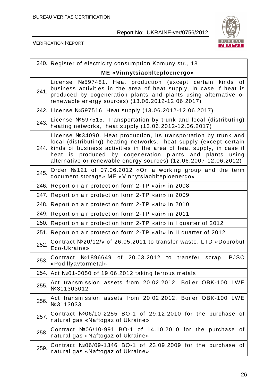

|      | 240. Register of electricity consumption Komuny str., 18                                                                                                                                                                                                                                                                                           |
|------|----------------------------------------------------------------------------------------------------------------------------------------------------------------------------------------------------------------------------------------------------------------------------------------------------------------------------------------------------|
|      | ME «Vinnytsiaobiteploenergo»                                                                                                                                                                                                                                                                                                                       |
| 241. | Nº597481. Heat production (except certain kinds of<br>License<br>business activities in the area of heat supply, in case if heat is<br>produced by cogeneration plants and plants using alternative or<br>renewable energy sources) (13.06.2012-12.06.2017)                                                                                        |
|      | 242. License №597516. Heat supply (13.06.2012-12.06.2017)                                                                                                                                                                                                                                                                                          |
| 243. | License №597515. Transportation by trunk and local (distributing)<br>heating networks, heat supply (13.06.2012-12.06.2017)                                                                                                                                                                                                                         |
|      | License №34090. Heat production, its transportation by trunk and<br>local (distributing) heating networks, heat supply (except certain<br>244. kinds of business activities in the area of heat supply, in case if<br>heat is produced by cogeneration plants and plants using<br>alternative or renewable energy sources) (12.06.2007-12.06.2012) |
| 245. | Order Not 121 of 07.06.2012 «On a working group and the term<br>document storage» ME «Vinnytsiaoblteploenergo»                                                                                                                                                                                                                                     |
|      | 246. Report on air protection form 2-TP «air» in 2008                                                                                                                                                                                                                                                                                              |
| 247. | Report on air protection form 2-TP «air» in 2009                                                                                                                                                                                                                                                                                                   |
| 248. | Report on air protection form 2-TP «air» in 2010                                                                                                                                                                                                                                                                                                   |
|      | 249. Report on air protection form 2-TP «air» in 2011                                                                                                                                                                                                                                                                                              |
| 250. | Report on air protection form 2-TP «air» in I quarter of 2012                                                                                                                                                                                                                                                                                      |
| 251. | Report on air protection form 2-TP «air» in II quarter of 2012                                                                                                                                                                                                                                                                                     |
| 252. | Contract Nº20/12/v of 26.05.2011 to transfer waste. LTD «Dobrobut<br>Eco-Ukraine»                                                                                                                                                                                                                                                                  |
| 253. | Contract №1896649 of 20.03.2012 to transfer<br><b>PJSC</b><br>scrap.<br>«Podillyavtormetal»                                                                                                                                                                                                                                                        |
|      | 254. Act №01-0050 of 19.06.2012 taking ferrous metals                                                                                                                                                                                                                                                                                              |
| 255. | Act transmission assets from 20.02.2012. Boiler OBK-100 LWE<br>Nº311303012                                                                                                                                                                                                                                                                         |
| 256. | Act transmission assets from 20.02.2012. Boiler OBK-100 LWE<br>Nº3113033                                                                                                                                                                                                                                                                           |
| 257. | Contract $N206/10-2255$ BO-1 of 29.12.2010 for the purchase of<br>natural gas «Naftogaz of Ukraine»                                                                                                                                                                                                                                                |
| 258. | Contract $N06/10-991$ BO-1 of 14.10.2010 for the purchase of<br>natural gas «Naftogaz of Ukraine»                                                                                                                                                                                                                                                  |
| 259. | Contract $N206/09-1346$ BO-1 of 23.09.2009 for the purchase of<br>natural gas «Naftogaz of Ukraine»                                                                                                                                                                                                                                                |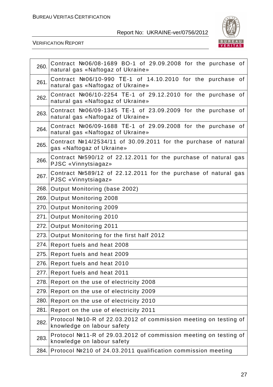

| 260.  | Contract Nº06/08-1689 BO-1 of 29.09.2008 for the purchase of<br>natural gas «Naftogaz of Ukraine» |
|-------|---------------------------------------------------------------------------------------------------|
| 261.  | Contract $N06/10-990$ TE-1 of 14.10.2010 for the purchase of<br>natural gas «Naftogaz of Ukraine» |
| 262.  | Contract №06/10-2254 TE-1 of 29.12.2010 for the purchase of<br>natural gas «Naftogaz of Ukraine»  |
| 263.  | Contract №06/09-1345 TE-1 of 23.09.2009 for the purchase of<br>natural gas «Naftogaz of Ukraine»  |
| 264.  | Contract №06/09-1688 TE-1 of 29.09.2008 for the purchase of<br>natural gas «Naftogaz of Ukraine»  |
| 265.  | Contract №14/2534/11 of 30.09.2011 for the purchase of natural<br>gas «Naftogaz of Ukraine»       |
| 266.  | Contract №590/12 of 22.12.2011 for the purchase of natural gas<br>PJSC «Vinnytsiagaz»             |
| 267.  | Contract №589/12 of 22.12.2011 for the purchase of natural gas<br>PJSC «Vinnytsiagaz»             |
|       | 268. Output Monitoring (base 2002)                                                                |
|       | 269. Output Monitoring 2008                                                                       |
|       | 270. Output Monitoring 2009                                                                       |
| 271.1 | Output Monitoring 2010                                                                            |
|       | 272. Output Monitoring 2011                                                                       |
|       | 273. Output Monitoring for the first half 2012                                                    |
|       | 274. Report fuels and heat 2008                                                                   |
|       | 275. Report fuels and heat 2009                                                                   |
|       | 276. Report fuels and heat 2010                                                                   |
|       | 277. Report fuels and heat 2011                                                                   |
| 278.  | Report on the use of electricity 2008                                                             |
| 279.  | Report on the use of electricity 2009                                                             |
| 280.  | Report on the use of electricity 2010                                                             |
| 281.  | Report on the use of electricity 2011                                                             |
| 282.  | Protocol №10-R of 22.03.2012 of commission meeting on testing of<br>knowledge on labour safety    |
| 283.  | Protocol №11-R of 29.03.2012 of commission meeting on testing of<br>knowledge on labour safety    |
| 284.  | Protocol №210 of 24.03.2011 qualification commission meeting                                      |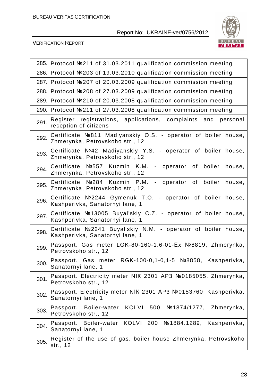

|      | 285. Protocol №211 of 31.03.2011 qualification commission meeting                                        |
|------|----------------------------------------------------------------------------------------------------------|
| 286. | Protocol №203 of 19.03.2010 qualification commission meeting                                             |
| 287. | Protocol №207 of 20.03.2009 qualification commission meeting                                             |
| 288. | Protocol №208 of 27.03.2009 qualification commission meeting                                             |
|      | 289. Protocol №210 of 20.03.2008 qualification commission meeting                                        |
|      | 290. Protocol №211 of 27.03.2008 qualification commission meeting                                        |
| 291. | registrations, applications, complaints<br>Register<br>and<br>personal<br>reception of citizens          |
| 292. | Certificate Nº811 Madiyanskiy O.S. - operator of boiler house,<br>Zhmerynka, Petrovskoho str., 12        |
| 293. | Certificate Nº42 Madiyanskiy Y.S. - operator of boiler house,<br>Zhmerynka, Petrovskoho str., 12         |
| 294. | Certificate Nº557 Kuzmin K.M.<br>- operator of<br>boiler<br>house,<br>Zhmerynka, Petrovskoho str., 12    |
| 295. | Certificate Nº284 Kuzmin P.M.<br>boiler<br>- operator<br>of<br>house,<br>Zhmerynka, Petrovskoho str., 12 |
| 296. | Certificate Nº2244 Gymenuk T.O. - operator of boiler<br>house,<br>Kashperivka, Sanatornyi lane, 1        |
| 297. | Certificate №13005 Buyal'skiy C.Z. - operator of boiler house,<br>Kashperivka, Sanatornyi lane, 1        |
| 298. | Certificate Nº2241 Buyal'skiy N.M. - operator of boiler house,<br>Kashperivka, Sanatornyi lane, 1        |
| 299. | Passport. Gas meter LGK-80-160-1.6-01-Ex №8819, Zhmerynka,<br>Petrovskoho str., 12                       |
| 300. | Passport. Gas meter RGK-100-0,1-0,1-5 №8858, Kashperivka,<br>Sanatornyi lane, 1                          |
| 301. | Passport. Electricity meter NIK 2301 AP3 №0185055, Zhmerynka,<br>Petrovskoho str., 12                    |
| 302. | Passport. Electricity meter NIK 2301 AP3 №0153760, Kashperivka,<br>Sanatornyi lane, 1                    |
| 303. | KOLVI 500<br>Passport. Boiler-water<br>$N01874/1277$ , Zhmerynka,<br>Petrovskoho str., 12                |
| 304. | KOLVI 200<br>Nº1884.1289,<br>Kashperivka,<br>Passport. Boiler-water<br>Sanatornyi lane, 1                |
| 305. | Register of the use of gas, boiler house Zhmerynka, Petrovskoho<br>str., 12                              |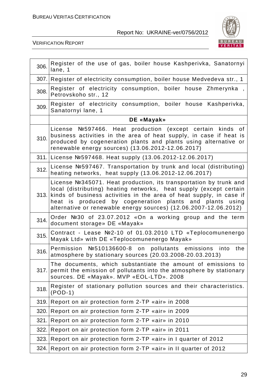

| 306. | Register of the use of gas, boiler house Kashperivka, Sanatornyi<br>lane, 1                                                                                                                                                                                                                                                                         |
|------|-----------------------------------------------------------------------------------------------------------------------------------------------------------------------------------------------------------------------------------------------------------------------------------------------------------------------------------------------------|
|      | 307. Register of electricity consumption, boiler house Medvedeva str., 1                                                                                                                                                                                                                                                                            |
| 308. | Register of electricity consumption, boiler house Zhmerynka,<br>Petrovskoho str., 12                                                                                                                                                                                                                                                                |
| 309. | Register of electricity consumption, boiler house Kashperivka,<br>Sanatornyi lane, 1                                                                                                                                                                                                                                                                |
|      | DE «Mayak»                                                                                                                                                                                                                                                                                                                                          |
| 310. | Nº597466. Heat production (except certain kinds of<br>License<br>business activities in the area of heat supply, in case if heat is<br>produced by cogeneration plants and plants using alternative or<br>renewable energy sources) (13.06.2012-12.06.2017)                                                                                         |
|      | 311. License №597468. Heat supply (13.06.2012-12.06.2017)                                                                                                                                                                                                                                                                                           |
| 312. | License №597467. Transportation by trunk and local (distributing)<br>heating networks, heat supply (13.06.2012-12.06.2017)                                                                                                                                                                                                                          |
|      | License №345071. Heat production, its transportation by trunk and<br>local (distributing) heating networks, heat supply (except certain<br>313. kinds of business activities in the area of heat supply, in case if<br>heat is produced by cogeneration plants and plants using<br>alternative or renewable energy sources) (12.06.2007-12.06.2012) |
| 314. | Order Nº30 of 23.07.2012 «On a working group and the term<br>document storage» DE «Mayak»                                                                                                                                                                                                                                                           |
| 315. | Contract - Lease Nº2-10 of 01.03.2010 LTD «Teplocomunenergo<br>Mayak Ltd» with DE «Teplocomunenergo Mayak»                                                                                                                                                                                                                                          |
| 316. | Permission №510136600-8 on pollutants emissions<br>into the<br>atmosphere by stationary sources (20.03.2008-20.03.2013)                                                                                                                                                                                                                             |
| 317. | The documents, which substantiate the amount of emissions to<br>permit the emission of pollutants into the atmosphere by stationary<br>sources. DE «Mayak». MVP «EOL-LTD». 2008                                                                                                                                                                     |
| 318. | Register of stationary pollution sources and their characteristics.<br>$(POD-1)$                                                                                                                                                                                                                                                                    |
| 319. | Report on air protection form 2-TP «air» in 2008                                                                                                                                                                                                                                                                                                    |
| 320. | Report on air protection form 2-TP «air» in 2009                                                                                                                                                                                                                                                                                                    |
| 321. | Report on air protection form 2-TP «air» in 2010                                                                                                                                                                                                                                                                                                    |
| 322. | Report on air protection form 2-TP «air» in 2011                                                                                                                                                                                                                                                                                                    |
| 323. | Report on air protection form 2-TP «air» in I quarter of 2012                                                                                                                                                                                                                                                                                       |
| 324. | Report on air protection form 2-TP «air» in II quarter of 2012                                                                                                                                                                                                                                                                                      |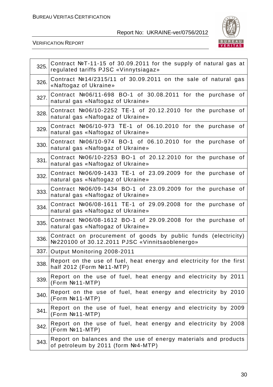

| 325. | Contract NºT-11-15 of 30.09.2011 for the supply of natural gas at<br>regulated tariffs PJSC «Vinnytsiagaz»       |
|------|------------------------------------------------------------------------------------------------------------------|
| 326. | Contract $N214/2315/11$ of 30.09.2011 on the sale of natural gas<br>«Naftogaz of Ukraine»                        |
| 327. | Contract №06/11-698 BO-1 of 30.08.2011 for the purchase of<br>natural gas «Naftogaz of Ukraine»                  |
| 328. | Contract №06/10-2252 TE-1 of 20.12.2010 for the purchase of<br>natural gas «Naftogaz of Ukraine»                 |
| 329. | Contract $N06/10-973$ TE-1 of 06.10.2010 for the purchase of<br>natural gas «Naftogaz of Ukraine»                |
| 330. | Contract $N06/10-974$ BO-1 of 06.10.2010 for the purchase of<br>natural gas «Naftogaz of Ukraine»                |
| 331. | Contract №06/10-2253 BO-1 of 20.12.2010 for the purchase of<br>natural gas «Naftogaz of Ukraine»                 |
| 332. | Contract $N206/09-1433$ TE-1 of 23.09.2009 for the purchase of<br>natural gas «Naftogaz of Ukraine»              |
| 333. | Contract №06/09-1434 BO-1 of 23.09.2009 for the purchase of<br>natural gas «Naftogaz of Ukraine»                 |
| 334. | Contract №06/08-1611 TE-1 of 29.09.2008 for the purchase of<br>natural gas «Naftogaz of Ukraine»                 |
| 335. | Contract №06/08-1612 BO-1 of 29.09.2008 for the purchase of<br>natural gas «Naftogaz of Ukraine»                 |
| 336. | Contract on procurement of goods by public funds (electricity)<br>№220100 of 30.12.2011 PJSC «Vinnitsaoblenergo» |
|      | 337. Output Monitoring 2008-2011                                                                                 |
| 338. | Report on the use of fuel, heat energy and electricity for the first<br>half 2012 (Form №11-MTP)                 |
| 339. | Report on the use of fuel, heat energy and electricity by 2011<br>(Form Nº11-MTP)                                |
| 340. | Report on the use of fuel, heat energy and electricity by 2010<br>$(Form N011-MTP)$                              |
| 341. | Report on the use of fuel, heat energy and electricity by 2009<br>(Form Nº11-MTP)                                |
| 342. | Report on the use of fuel, heat energy and electricity by 2008<br>$(Form N011-MTP)$                              |
| 343. | Report on balances and the use of energy materials and products<br>of petroleum by 2011 (form Nº4-MTP)           |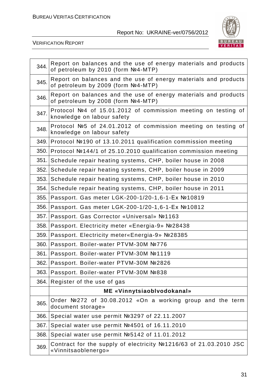

| 344.  | Report on balances and the use of energy materials and products<br>of petroleum by 2010 (form Nº4-MTP) |
|-------|--------------------------------------------------------------------------------------------------------|
| 345.  | Report on balances and the use of energy materials and products<br>of petroleum by 2009 (form №4-MTP)  |
| 346.  | Report on balances and the use of energy materials and products<br>of petroleum by 2008 (form Nº4-MTP) |
| 347.  | Protocol №4 of 15.01.2012 of commission meeting on testing of<br>knowledge on labour safety            |
| 348.  | Protocol Nº5 of 24.01.2012 of commission meeting on testing of<br>knowledge on labour safety           |
| 349.1 | Protocol №190 of 13.10.2011 qualification commission meeting                                           |
| 350.  | Protocol №144/1 of 25.10.2010 qualification commission meeting                                         |
| 351.  | Schedule repair heating systems, CHP, boiler house in 2008                                             |
| 352.  | Schedule repair heating systems, CHP, boiler house in 2009                                             |
| 353.  | Schedule repair heating systems, CHP, boiler house in 2010                                             |
| 354.  | Schedule repair heating systems, CHP, boiler house in 2011                                             |
| 355.  | Passport. Gas meter LGK-200-1/20-1,6-1-Ex №10819                                                       |
|       | 356. Passport. Gas meter LGK-200-1/20-1,6-1-Ex №10812                                                  |
| 357.  | Passport. Gas Corrector «Universal» №1163                                                              |
| 358.  | Passport. Electricity meter «Energia-9» №28438                                                         |
| 359.  | Passport. Electricity meter«Energia-9» №28385                                                          |
| 360.  | Passport. Boiler-water PTVM-30M №776                                                                   |
| 361.  | Passport. Boiler-water PTVM-30M №1119                                                                  |
| 362.  | Passport. Boiler-water PTVM-30M №2826                                                                  |
| 363.  | Passport. Boiler-water PTVM-30M №838                                                                   |
| 364.  | Register of the use of gas                                                                             |
|       | ME «Vinnytsiaoblvodokanal»                                                                             |
| 365.  | Order Nº272 of 30.08.2012 «On a working group and the term<br>document storage»                        |
| 366.  | Special water use permit Nº3297 of 22.11.2007                                                          |
| 367.  | Special water use permit Nº4501 of 16.11.2010                                                          |
| 368.  | Special water use permit №5142 of 11.01.2012                                                           |
| 369.  | Contract for the supply of electricity Nº1216/63 of 21.03.2010 JSC<br>«Vinnitsaoblenergo»              |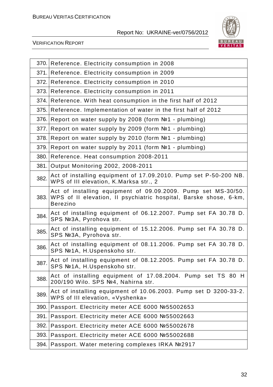

| 370. | Reference. Electricity consumption in 2008                                                                                                                 |
|------|------------------------------------------------------------------------------------------------------------------------------------------------------------|
| 371. | Reference. Electricity consumption in 2009                                                                                                                 |
| 372. | Reference. Electricity consumption in 2010                                                                                                                 |
|      | 373. Reference. Electricity consumption in 2011                                                                                                            |
| 374. | Reference. With heat consumption in the first half of 2012                                                                                                 |
| 375. | Reference. Implementation of water in the first half of 2012                                                                                               |
| 376. | Report on water supply by 2008 (form Not - plumbing)                                                                                                       |
| 377. | Report on water supply by 2009 (form №1 - plumbing)                                                                                                        |
| 378. | Report on water supply by 2010 (form №1 - plumbing)                                                                                                        |
| 379. | Report on water supply by 2011 (form №1 - plumbing)                                                                                                        |
| 380. | Reference. Heat consumption 2008-2011                                                                                                                      |
| 381. | Output Monitoring 2002, 2008-2011                                                                                                                          |
| 382. | Act of installing equipment of 17.09.2010. Pump set P-50-200 NB.<br>WPS of III elevation, K. Marksa str., 2                                                |
|      | Act of installing equipment of 09.09.2009. Pump set MS-30/50.<br>383. WPS of II elevation, II psychiatric hospital, Barske shose, 6-km,<br><b>Berezino</b> |
| 384. | Act of installing equipment of 06.12.2007. Pump set FA 30.78 D.<br>SPS Nº3A, Pyrohova str.                                                                 |
| 385. | Act of installing equipment of 15.12.2006. Pump set FA 30.78 D.<br>SPS Nº3A, Pyrohova str.                                                                 |
| 386. | Act of installing equipment of 08.11.2006. Pump set FA 30.78 D.<br>SPS №1A, H.Uspenskoho str.                                                              |
| 387. | Act of installing equipment of 08.12.2005. Pump set FA 30.78 D.<br>SPS №1A, H.Uspenskoho str.                                                              |
| 388. | Act of installing equipment of 17.08.2004. Pump set TS 80 H<br>200/190 Wilo. SPS Nº4, Nahirna str.                                                         |
| 389. | Act of installing equipment of 10.06.2003. Pump set D 3200-33-2.<br>WPS of III elevation, «Vyshenka»                                                       |
| 390. | Passport. Electricity meter ACE 6000 №55002653                                                                                                             |
| 391. | Passport. Electricity meter ACE 6000 №55002663                                                                                                             |
| 392. | Passport. Electricity meter ACE 6000 №55002678                                                                                                             |
| 393. | Passport. Electricity meter ACE 6000 №55002688                                                                                                             |
| 394. | Passport. Water metering complexes IRKA №2917                                                                                                              |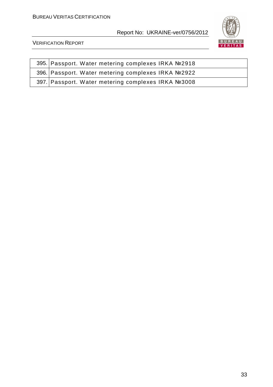

| 395. Passport. Water metering complexes IRKA №2918 |
|----------------------------------------------------|
| 396. Passport. Water metering complexes IRKA №2922 |
| 397. Passport. Water metering complexes IRKA №3008 |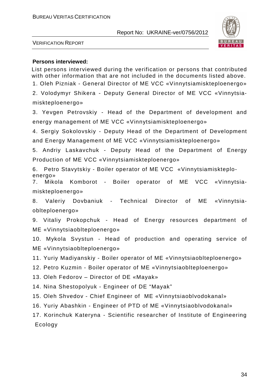

VERIFICATION REPORT

#### **Persons interviewed:**

List persons interviewed during the verification or persons that contributed with other information that are not included in the documents listed above. 1. Oleh Pizniak - General Director of ME VCC «Vinnytsiamiskteploenergo»

2. Volodymyr Shikera - Deputy General Director of ME VCC «Vinnytsiamiskteploenergo»

3. Yevgen Petrovskiy - Head of the Department of development and energy management of ME VCC «Vinnytsiamiskteploenergo»

4. Sergiy Sokolovskiy - Deputy Head of the Department of Development and Energy Management of ME VCC «Vinnytsiamiskteploenergo»

5. Andriy Laskavchuk - Deputy Head of the Department of Energy Production of ME VCC «Vinnytsiamiskteploenergo»

6. Petro Stavytskiy - Boiler operator of ME VCC «Vinnytsiamiskteploenergo»

7. Mikola Komborot - Boiler operator of ME VCC «Vinnytsiamiskteploenergo»

8. Valeriy Dovbaniuk - Technical Director of ME «Vinnytsiaoblteploenergo»

9. Vitaliy Prokopchuk - Head of Energy resources department of ME «Vinnytsiaoblteploenergo»

10. Mykola Svystun - Head of production and operating service of ME «Vinnytsiaoblteploenergo»

11. Yuriy Madiyanskiy - Boiler operator of ME «Vinnytsiaoblteploenergo»

12. Petro Kuzmin - Boiler operator of ME «Vinnytsiaoblteploenergo»

13. Oleh Fedorov – Director of DE «Mayak»

14. Nina Shestopolyuk - Engineer of DE "Mayak"

15. Oleh Shvedov - Chief Engineer of ME «Vinnytsiaoblvodokanal»

16. Yuriy Abashkin - Engineer of PTD of ME «Vinnytsiaoblvodokanal»

17. Korinchuk Kateryna - Scientific researcher of Institute of Engineering Ecology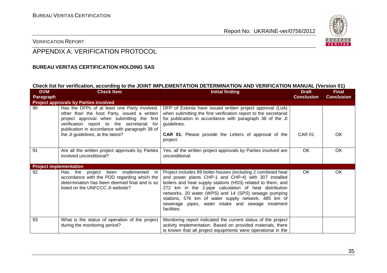

#### VERIFICATION REPORT

### APPENDIX A: VERIFICATION PROTOCOL

#### **BUREAU VERITAS CERTIFICATION HOLDING SAS**

#### **Check list for verification, according to the JOINT IMPLEMENTATION DETERMINATION AND VERIFICATION MANUAL (Version 01)**

| <b>DVM</b><br>Paragraph       | <b>Check Item</b>                                                                                                                                                                                                                                                              | <b>Initial finding</b>                                                                                                                                                                                                                                                                                                                                                                                                          | <b>Draft</b><br><b>Conclusion</b> | <b>Final</b><br><b>Conclusion</b> |
|-------------------------------|--------------------------------------------------------------------------------------------------------------------------------------------------------------------------------------------------------------------------------------------------------------------------------|---------------------------------------------------------------------------------------------------------------------------------------------------------------------------------------------------------------------------------------------------------------------------------------------------------------------------------------------------------------------------------------------------------------------------------|-----------------------------------|-----------------------------------|
|                               | <b>Project approvals by Parties involved</b>                                                                                                                                                                                                                                   |                                                                                                                                                                                                                                                                                                                                                                                                                                 |                                   |                                   |
| 90                            | Has the DFPs of at least one Party involved,<br>other than the host Party, issued a written<br>project approval when submitting the first<br>verification report to the secretariat for<br>publication in accordance with paragraph 38 of<br>the JI guidelines, at the latest? | DFP of Estonia have issued written project approval (LoA)<br>when submitting the first verification report to the secretariat<br>for publication in accordance with paragraph 38 of the JI<br>guidelines.<br><b>CAR 01.</b> Please provide the Letters of approval of the<br>project.                                                                                                                                           | <b>CAR 01</b>                     | OK.                               |
| 91                            | Are all the written project approvals by Parties<br>involved unconditional?                                                                                                                                                                                                    | Yes, all the written project approvals by Parties involved are<br>unconditional.                                                                                                                                                                                                                                                                                                                                                | <b>OK</b>                         | OK.                               |
| <b>Project implementation</b> |                                                                                                                                                                                                                                                                                |                                                                                                                                                                                                                                                                                                                                                                                                                                 |                                   |                                   |
| 92                            | Has the project been implemented<br>-in<br>accordance with the PDD regarding which the<br>determination has been deemed final and is so<br>listed on the UNFCCC JI website?                                                                                                    | Project includes 89 boiler-houses (including 2 combined heat<br>and power plants CHP-1 and CHP-4) with 307 installed<br>boilers and heat supply stations (HSS) related to them, and<br>272 km in the 2-pipe calculation of heat distribution<br>networks, 20 water (WPS) and 14 (SPS) sewage pumping<br>stations, 576 km of water supply network, 485 km of<br>sewerage pipes, water intake and sewage treatment<br>facilities. | <b>OK</b>                         | OK                                |
| 93                            | What is the status of operation of the project<br>during the monitoring period?                                                                                                                                                                                                | Monitoring report indicated the current status of the project<br>activity implementation. Based on provided materials, there<br>is known that all project equipments were operational in the                                                                                                                                                                                                                                    |                                   |                                   |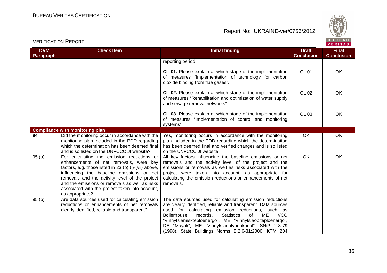

| <b>VERIFICATION REPORT</b> |
|----------------------------|
|----------------------------|

| <b>DVM</b><br><b>Paragraph</b> | <b>Check Item</b>                                                                                                                                                                                                                                                                                                                                                    | <b>Initial finding</b>                                                                                                                                                                                                                                                                                                                                                                                                                        | <b>Draft</b><br><b>Conclusion</b> | <b>Final</b><br><b>Conclusion</b> |
|--------------------------------|----------------------------------------------------------------------------------------------------------------------------------------------------------------------------------------------------------------------------------------------------------------------------------------------------------------------------------------------------------------------|-----------------------------------------------------------------------------------------------------------------------------------------------------------------------------------------------------------------------------------------------------------------------------------------------------------------------------------------------------------------------------------------------------------------------------------------------|-----------------------------------|-----------------------------------|
|                                |                                                                                                                                                                                                                                                                                                                                                                      | reporting period.                                                                                                                                                                                                                                                                                                                                                                                                                             |                                   |                                   |
|                                |                                                                                                                                                                                                                                                                                                                                                                      | CL 01. Please explain at which stage of the implementation<br>of measures "Implementation of technology for carbon<br>dioxide binding from flue gases".                                                                                                                                                                                                                                                                                       | <b>CL 01</b>                      | OK                                |
|                                |                                                                                                                                                                                                                                                                                                                                                                      | CL 02. Please explain at which stage of the implementation<br>of measures "Rehabilitation and optimization of water supply<br>and sewage removal networks".                                                                                                                                                                                                                                                                                   | <b>CL 02</b>                      | OK                                |
|                                |                                                                                                                                                                                                                                                                                                                                                                      | CL 03. Please explain at which stage of the implementation<br>of measures "Implementation of control and monitoring<br>systems".                                                                                                                                                                                                                                                                                                              | <b>CL 03</b>                      | OK                                |
|                                | <b>Compliance with monitoring plan</b>                                                                                                                                                                                                                                                                                                                               |                                                                                                                                                                                                                                                                                                                                                                                                                                               |                                   |                                   |
| 94                             | Did the monitoring occur in accordance with the<br>monitoring plan included in the PDD regarding<br>which the determination has been deemed final<br>and is so listed on the UNFCCC JI website?                                                                                                                                                                      | Yes, monitoring occurs in accordance with the monitoring<br>plan included in the PDD regarding which the determination<br>has been deemed final and verified changes and is so listed<br>on the UNFCCC JI website.                                                                                                                                                                                                                            | OK                                | OK                                |
| 95(a)                          | For calculating the emission reductions or<br>enhancements of net removals, were key<br>factors, e.g. those listed in 23 (b) (i)-(vii) above,<br>influencing the baseline emissions or net<br>removals and the activity level of the project<br>and the emissions or removals as well as risks<br>associated with the project taken into account,<br>as appropriate? | All key factors influencing the baseline emissions or net<br>removals and the activity level of the project and the<br>emissions or removals as well as risks associated with the<br>project were taken into account, as appropriate for<br>calculating the emission reductions or enhancements of net<br>removals.                                                                                                                           | $\overline{OK}$                   | OK                                |
| 95(b)                          | Are data sources used for calculating emission<br>reductions or enhancements of net removals<br>clearly identified, reliable and transparent?                                                                                                                                                                                                                        | The data sources used for calculating emission reductions<br>are clearly identified, reliable and transparent. Data sources<br>used for calculating emission reductions, such as<br><b>VCC</b><br><b>Boilerhouse</b><br>records.<br><b>Statistics</b><br>ME<br>0f<br>"Vinnytsiamiskteploenergo", ME "Vinnytsiaoblteploenergo",<br>DE "Mayak", ME "Vinnytsiaoblvodokanal", SNiP 2-3-79<br>(1998), State Buildings Norms B.2.6-31:2006, KTM 204 |                                   |                                   |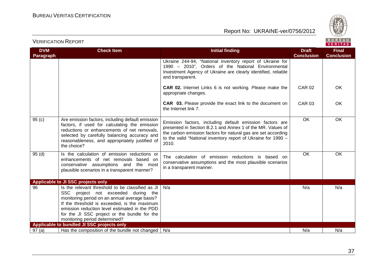VERIFICATION REPORT



| <b>DVM</b><br>Paragraph | <b>Check Item</b>                                                                                                                                                                                                                                                                                                          | <b>Initial finding</b>                                                                                                                                                                                                                                             | <b>Draft</b><br><b>Conclusion</b> | <b>Final</b><br><b>Conclusion</b> |
|-------------------------|----------------------------------------------------------------------------------------------------------------------------------------------------------------------------------------------------------------------------------------------------------------------------------------------------------------------------|--------------------------------------------------------------------------------------------------------------------------------------------------------------------------------------------------------------------------------------------------------------------|-----------------------------------|-----------------------------------|
|                         |                                                                                                                                                                                                                                                                                                                            | Ukraine 244-94, "National inventory report of Ukraine for<br>1990 - 2010", Orders of the National Environmental<br>Investment Agency of Ukraine are clearly identified, reliable<br>and transparent.                                                               |                                   |                                   |
|                         |                                                                                                                                                                                                                                                                                                                            | <b>CAR 02.</b> Internet Links 6 is not working. Please make the<br>appropriate changes.                                                                                                                                                                            | <b>CAR 02</b>                     | <b>OK</b>                         |
|                         |                                                                                                                                                                                                                                                                                                                            | <b>CAR</b> 03. Please provide the exact link to the document on<br>the Internet link 7.                                                                                                                                                                            | <b>CAR 03</b>                     | OK.                               |
| 95(c)                   | Are emission factors, including default emission<br>factors, if used for calculating the emission<br>reductions or enhancements of net removals,<br>selected by carefully balancing accuracy and<br>reasonableness, and appropriately justified of<br>the choice?                                                          | Emission factors, including default emission factors are<br>presented in Section B.2.1 and Annex 1 of the MR. Values of<br>the carbon emission factors for natural gas are set according<br>to the valid "National inventory report of Ukraine for 1990 -<br>2010. | OK                                | OK                                |
| 95(d)                   | Is the calculation of emission reductions or<br>enhancements of net removals based on<br>conservative assumptions and the most<br>plausible scenarios in a transparent manner?                                                                                                                                             | The calculation of emission reductions is based on<br>conservative assumptions and the most plausible scenarios<br>in a transparent manner.                                                                                                                        | OK                                | <b>OK</b>                         |
|                         | Applicable to JI SSC projects only                                                                                                                                                                                                                                                                                         |                                                                                                                                                                                                                                                                    |                                   |                                   |
| 96                      | Is the relevant threshold to be classified as JI<br>SSC project not exceeded during the<br>monitoring period on an annual average basis?<br>If the threshold is exceeded, is the maximum<br>emission reduction level estimated in the PDD<br>for the JI SSC project or the bundle for the<br>monitoring period determined? | N/a                                                                                                                                                                                                                                                                | N/a                               | N/a                               |
|                         | Applicable to bundled JI SSC projects only                                                                                                                                                                                                                                                                                 |                                                                                                                                                                                                                                                                    |                                   |                                   |
| 97(a)                   | Has the composition of the bundle not changed                                                                                                                                                                                                                                                                              | N/a                                                                                                                                                                                                                                                                | N/a                               | N/a                               |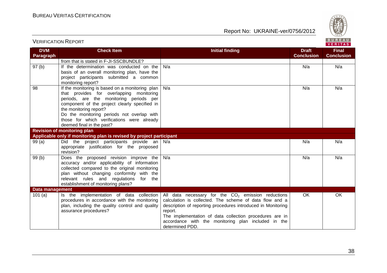

| <b>DVM</b><br><b>Paragraph</b> | <b>Check Item</b>                                                                                                                                                                                                                                                                                                                          | <b>Initial finding</b>                                                                                                                                                                                                                                                                                                          | <b>Draft</b><br><b>Conclusion</b> | <b>Final</b><br><b>Conclusion</b> |
|--------------------------------|--------------------------------------------------------------------------------------------------------------------------------------------------------------------------------------------------------------------------------------------------------------------------------------------------------------------------------------------|---------------------------------------------------------------------------------------------------------------------------------------------------------------------------------------------------------------------------------------------------------------------------------------------------------------------------------|-----------------------------------|-----------------------------------|
|                                | from that is stated in F-JI-SSCBUNDLE?                                                                                                                                                                                                                                                                                                     |                                                                                                                                                                                                                                                                                                                                 |                                   |                                   |
| 97(b)                          | If the determination was conducted on the<br>basis of an overall monitoring plan, have the<br>project participants submitted a common<br>monitoring report?                                                                                                                                                                                | N/a                                                                                                                                                                                                                                                                                                                             | N/a                               | N/a                               |
| 98                             | If the monitoring is based on a monitoring plan<br>that provides for overlapping monitoring<br>periods, are the monitoring periods per<br>component of the project clearly specified in<br>the monitoring report?<br>Do the monitoring periods not overlap with<br>those for which verifications were already<br>deemed final in the past? | N/a                                                                                                                                                                                                                                                                                                                             | N/a                               | N/a                               |
|                                | <b>Revision of monitoring plan</b>                                                                                                                                                                                                                                                                                                         |                                                                                                                                                                                                                                                                                                                                 |                                   |                                   |
|                                | Applicable only if monitoring plan is revised by project participant                                                                                                                                                                                                                                                                       |                                                                                                                                                                                                                                                                                                                                 |                                   |                                   |
| 99(a)                          | Did the project participants provide an $N/a$<br>appropriate justification for the proposed<br>revision?                                                                                                                                                                                                                                   |                                                                                                                                                                                                                                                                                                                                 | N/a                               | N/a                               |
| 99(b)                          | Does the proposed revision improve the<br>accuracy and/or applicability of information<br>collected compared to the original monitoring<br>plan without changing conformity with the<br>relevant rules and regulations for<br>the<br>establishment of monitoring plans?                                                                    | N/a                                                                                                                                                                                                                                                                                                                             | N/a                               | N/a                               |
| <b>Data management</b>         |                                                                                                                                                                                                                                                                                                                                            |                                                                                                                                                                                                                                                                                                                                 |                                   |                                   |
| 101(a)                         | Is the implementation of data collection<br>procedures in accordance with the monitoring<br>plan, including the quality control and quality<br>assurance procedures?                                                                                                                                                                       | All data necessary for the $CO2$ emission reductions<br>calculation is collected. The scheme of data flow and a<br>description of reporting procedures introduced in Monitoring<br>report.<br>The implementation of data collection procedures are in<br>accordance with the monitoring plan included in the<br>determined PDD. | OK                                | OK                                |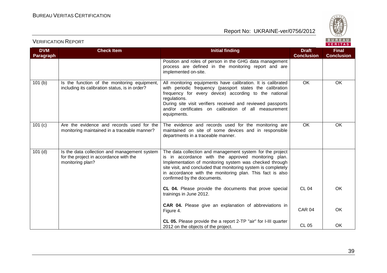

| <b>VERIFICATION REPORT</b> |  |
|----------------------------|--|
|----------------------------|--|

| <b>DVM</b><br>Paragraph | <b>Check Item</b>                                                                                          | <b>Initial finding</b>                                                                                                                                                                                                                                                                                                                    | <b>Draft</b><br><b>Conclusion</b> | <b>Final</b><br><b>Conclusion</b> |
|-------------------------|------------------------------------------------------------------------------------------------------------|-------------------------------------------------------------------------------------------------------------------------------------------------------------------------------------------------------------------------------------------------------------------------------------------------------------------------------------------|-----------------------------------|-----------------------------------|
|                         |                                                                                                            | Position and roles of person in the GHG data management<br>process are defined in the monitoring report and are<br>implemented on-site.                                                                                                                                                                                                   |                                   |                                   |
| 101(b)                  | Is the function of the monitoring equipment,<br>including its calibration status, is in order?             | All monitoring equipments have calibration. It is calibrated<br>with periodic frequency (passport states the calibration<br>frequency for every device) according to the national<br>regulations.<br>During site visit verifiers received and reviewed passports<br>and/or certificates on calibration of all measurement<br>equipments.  | <b>OK</b>                         | OK                                |
| 101(c)                  | Are the evidence and records used for the<br>monitoring maintained in a traceable manner?                  | The evidence and records used for the monitoring are<br>maintained on site of some devices and in responsible<br>departments in a traceable manner.                                                                                                                                                                                       | OK                                | OK                                |
| $101$ (d)               | Is the data collection and management system<br>for the project in accordance with the<br>monitoring plan? | The data collection and management system for the project<br>is in accordance with the approved monitoring plan.<br>Implementation of monitoring system was checked through<br>site visit, and concluded that monitoring system is completely<br>in accordance with the monitoring plan. This fact is also<br>confirmed by the documents. |                                   |                                   |
|                         |                                                                                                            | CL 04. Please provide the documents that prove special<br>trainings in June 2012.                                                                                                                                                                                                                                                         | <b>CL 04</b>                      | OK                                |
|                         |                                                                                                            | CAR 04. Please give an explanation of abbreviations in<br>Figure 4.                                                                                                                                                                                                                                                                       | CAR <sub>04</sub>                 | OK                                |
|                         |                                                                                                            | CL 05. Please provide the a report 2-TP "air" for I-III quarter<br>2012 on the objects of the project.                                                                                                                                                                                                                                    | <b>CL 05</b>                      | OK                                |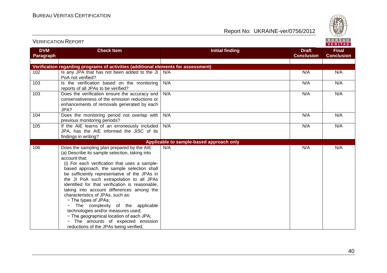

| <b>DVM</b><br>Paragraph | <b>Check Item</b>                                                                                                                                                                                                                                                                                                                                                                                                                                                                                                                                                                                                                                                                | <b>Initial finding</b>                   | <b>Draft</b><br><b>Conclusion</b> | <b>Final</b><br><b>Conclusion</b> |
|-------------------------|----------------------------------------------------------------------------------------------------------------------------------------------------------------------------------------------------------------------------------------------------------------------------------------------------------------------------------------------------------------------------------------------------------------------------------------------------------------------------------------------------------------------------------------------------------------------------------------------------------------------------------------------------------------------------------|------------------------------------------|-----------------------------------|-----------------------------------|
|                         |                                                                                                                                                                                                                                                                                                                                                                                                                                                                                                                                                                                                                                                                                  |                                          |                                   |                                   |
|                         | Verification regarding programs of activities (additional elements for assessment)                                                                                                                                                                                                                                                                                                                                                                                                                                                                                                                                                                                               |                                          |                                   |                                   |
| 102                     | Is any JPA that has not been added to the JI<br>PoA not verified?                                                                                                                                                                                                                                                                                                                                                                                                                                                                                                                                                                                                                | N/A                                      | N/A                               | N/A                               |
| 103                     | Is the verification based on the monitoring<br>reports of all JPAs to be verified?                                                                                                                                                                                                                                                                                                                                                                                                                                                                                                                                                                                               | N/A                                      | N/A                               | N/A                               |
| 103                     | Does the verification ensure the accuracy and<br>conservativeness of the emission reductions or<br>enhancements of removals generated by each<br>JPA?                                                                                                                                                                                                                                                                                                                                                                                                                                                                                                                            | N/A                                      | N/A                               | N/A                               |
| 104                     | Does the monitoring period not overlap with<br>previous monitoring periods?                                                                                                                                                                                                                                                                                                                                                                                                                                                                                                                                                                                                      | N/A                                      | N/A                               | N/A                               |
| 105                     | If the AIE learns of an erroneously included<br>JPA, has the AIE informed the JISC of its<br>findings in writing?                                                                                                                                                                                                                                                                                                                                                                                                                                                                                                                                                                | N/A                                      | N/A                               | N/A                               |
|                         |                                                                                                                                                                                                                                                                                                                                                                                                                                                                                                                                                                                                                                                                                  | Applicable to sample-based approach only |                                   |                                   |
| 106                     | Does the sampling plan prepared by the AIE:<br>(a) Describe its sample selection, taking into<br>account that:<br>(i) For each verification that uses a sample-<br>based approach, the sample selection shall<br>be sufficiently representative of the JPAs in<br>the JI PoA such extrapolation to all JPAs<br>identified for that verification is reasonable,<br>taking into account differences among the<br>characteristics of JPAs, such as:<br>- The types of JPAs;<br>- The complexity of the applicable<br>technologies and/or measures used;<br>- The geographical location of each JPA;<br>- The amounts of expected emission<br>reductions of the JPAs being verified; | N/A                                      | N/A                               | N/A                               |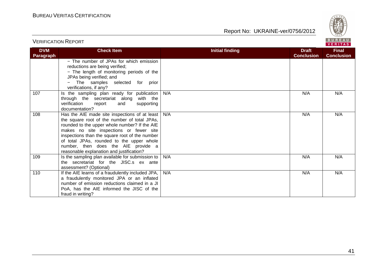

| <b>VERIFICATION REPORT</b> |  |
|----------------------------|--|
|----------------------------|--|

| <b>DVM</b> | <b>Check Item</b>                                                | <b>Initial finding</b> | <b>Draft</b>      | <b>Final</b>      |
|------------|------------------------------------------------------------------|------------------------|-------------------|-------------------|
| Paragraph  |                                                                  |                        | <b>Conclusion</b> | <b>Conclusion</b> |
|            | - The number of JPAs for which emission                          |                        |                   |                   |
|            | reductions are being verified;                                   |                        |                   |                   |
|            | - The length of monitoring periods of the                        |                        |                   |                   |
|            | JPAs being verified; and                                         |                        |                   |                   |
|            | - The samples selected for prior                                 |                        |                   |                   |
|            | verifications, if any?                                           |                        |                   |                   |
| 107        | Is the sampling plan ready for publication                       | N/A                    | N/A               | N/A               |
|            | through the secretariat along with the                           |                        |                   |                   |
|            | verification<br>report<br>supporting<br>and                      |                        |                   |                   |
|            | documentation?                                                   |                        |                   |                   |
| 108        | Has the AIE made site inspections of at least $\mid N/A \rangle$ |                        | N/A               | N/A               |
|            | the square root of the number of total JPAs,                     |                        |                   |                   |
|            | rounded to the upper whole number? If the AIE                    |                        |                   |                   |
|            | makes no site inspections or fewer site                          |                        |                   |                   |
|            | inspections than the square root of the number                   |                        |                   |                   |
|            | of total JPAs, rounded to the upper whole                        |                        |                   |                   |
|            | number, then does the AIE provide a                              |                        |                   |                   |
|            | reasonable explanation and justification?                        |                        |                   |                   |
| 109        | Is the sampling plan available for submission to                 | N/A                    | N/A               | N/A               |
|            | the secretariat for the JISC.s ex ante                           |                        |                   |                   |
|            | assessment? (Optional)                                           |                        |                   |                   |
| 110        | If the AIE learns of a fraudulently included JPA,                | N/A                    | N/A               | N/A               |
|            | a fraudulently monitored JPA or an inflated                      |                        |                   |                   |
|            | number of emission reductions claimed in a JI                    |                        |                   |                   |
|            | PoA, has the AIE informed the JISC of the                        |                        |                   |                   |
|            | fraud in writing?                                                |                        |                   |                   |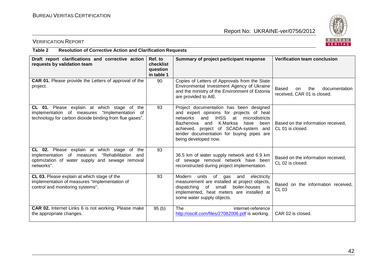

#### VERIFICATION REPORT

#### **Table 2 Resolution of Corrective Action and Clarification Requests**

| Draft report clarifications and corrective action<br>requests by validation team                                                                                        | Ref. to<br>checklist<br>question<br>in table 1 | Summary of project participant response                                                                                                                                                                                                                                                                       | <b>Verification team conclusion</b>                                           |
|-------------------------------------------------------------------------------------------------------------------------------------------------------------------------|------------------------------------------------|---------------------------------------------------------------------------------------------------------------------------------------------------------------------------------------------------------------------------------------------------------------------------------------------------------------|-------------------------------------------------------------------------------|
| <b>CAR 01.</b> Please provide the Letters of approval of the<br>project.                                                                                                | 90                                             | Copies of Letters of Approvals from the State<br>Environmental Investment Agency of Ukraine<br>and the ministry of the Environment of Estonia<br>are provided to AIE.                                                                                                                                         | Based<br>the<br>documentation<br><sub>on</sub><br>received, CAR 01 is closed. |
| CL 01. Please explain at which stage of the<br>"Implementation of<br>implementation of measures<br>technology for carbon dioxide binding from flue gases".              | 93                                             | Project documentation has been designed<br>and expert opinions for projects of heat<br><b>IHSS</b><br>and<br>at<br>microdistricts<br>networks<br>K.Marksa<br>Bazhenova<br>have<br>been l<br>and<br>achieved, project of SCADA-system and<br>tender documentation for buying pipes are<br>being developed now. | Based on the information received.<br>CL 01 is closed.                        |
| CL 02. Please explain at which stage of<br>the<br>implementation of measures<br>"Rehabilitation<br>and<br>optimization of water supply and sewage removal<br>networks". | 93                                             | 36.5 km of water supply network and 6.9 km<br>of sewage removal network have been<br>reconstructed during project implementation.                                                                                                                                                                             | Based on the information received,<br>CL 02 is closed.                        |
| CL 03. Please explain at which stage of the<br>implementation of measures "Implementation of<br>control and monitoring systems".                                        | 93                                             | of gas and<br>Modern<br>units<br>electricity<br>measurement are installed at project objects,<br>dispatching of<br>small<br>boiler-houses is<br>implemented, heat meters are installed at<br>some water supply objects.                                                                                       | Based on the information received,<br>CL 03                                   |
| CAR 02. Internet Links 6 is not working. Please make<br>the appropriate changes.                                                                                        | 95(b)                                          | The<br>internet-reference<br>http://oscill.com/files/27082006.pdf is working.                                                                                                                                                                                                                                 | CAR 02 is closed.                                                             |